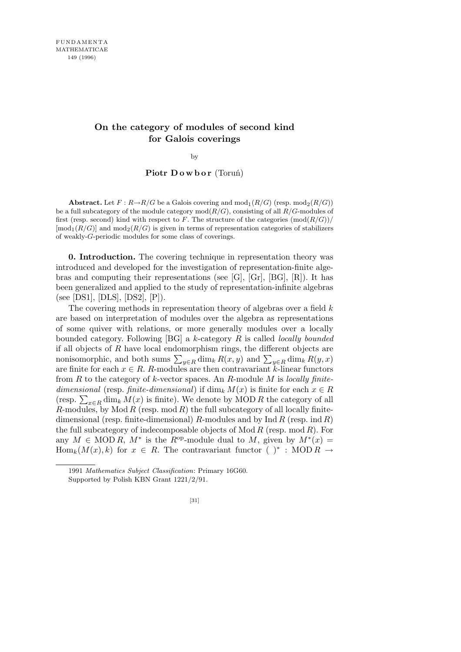# **On the category of modules of second kind for Galois coverings**

by

Piotr Dowbor (Toruń)

**Abstract.** Let  $F: R \rightarrow R/G$  be a Galois covering and  $\text{mod}_1(R/G)$  (resp.  $\text{mod}_2(R/G)$ ) be a full subcategory of the module category mod(*R/G*), consisting of all *R/G*-modules of first (resp. second) kind with respect to F. The structure of the categories  $(mod(R/G))$ /  $\pmod{R/G}$  and  $\pmod{R/G}$  is given in terms of representation categories of stabilizers of weakly-*G*-periodic modules for some class of coverings.

**0. Introduction.** The covering technique in representation theory was introduced and developed for the investigation of representation-finite algebras and computing their representations (see [G], [Gr], [BG], [R]). It has been generalized and applied to the study of representation-infinite algebras (see [DS1], [DLS], [DS2], [P]).

The covering methods in representation theory of algebras over a field *k* are based on interpretation of modules over the algebra as representations of some quiver with relations, or more generally modules over a locally bounded category. Following [BG] a *k*-category *R* is called *locally bounded* if all objects of *R* have local endomorphism rings, the different objects are n an objects of *R* have local endomorphism rings, the different objects are<br>nonisomorphic, and both sums  $\sum_{y \in R} \dim_k R(x, y)$  and  $\sum_{y \in R} \dim_k R(y, x)$ are finite for each  $x \in R$ . *R*-modules are then contravariant  $k$ -linear functors from *R* to the category of *k*-vector spaces. An *R*-module *M* is *locally finitedimensional* (resp. *finite-dimensional*) if  $\dim_k M(x)$  is finite for each  $x \in R$ dimensional (resp. *June*-dimensional) if  $\dim_k M(x)$  is finite for each  $x \in R$  (resp.  $\sum_{x \in R} \dim_k M(x)$  is finite). We denote by MOD *R* the category of all *R*-modules, by Mod *R* (resp. mod *R*) the full subcategory of all locally finitedimensional (resp. finite-dimensional) *R*-modules and by Ind *R* (resp. ind *R*) the full subcategory of indecomposable objects of Mod *R* (resp. mod *R*). For any  $M \in \text{MOD } R$ ,  $M^*$  is the  $R^{\text{op}}$ -module dual to  $M$ , given by  $M^*(x) =$  $\text{Hom}_k(M(x), k)$  for  $x \in R$ . The contravariant functor ( )<sup>\*</sup> : MOD  $R \to$ 

<sup>1991</sup> *Mathematics Subject Classification*: Primary 16G60. Supported by Polish KBN Grant 1221/2/91.

<sup>[31]</sup>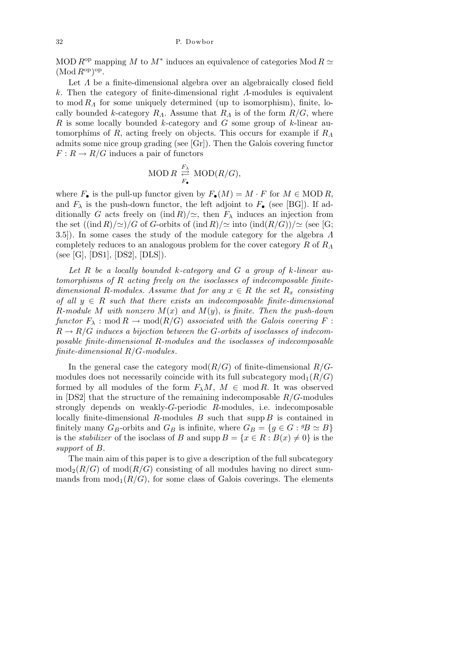MOD  $R^{\text{op}}$  mapping M to  $M^*$  induces an equivalence of categories Mod  $R \simeq$  $(\text{Mod } R^{\text{op}})^{\text{op}}.$ 

Let *Λ* be a finite-dimensional algebra over an algebraically closed field *k*. Then the category of finite-dimensional right *Λ*-modules is equivalent to mod *R<sup>Λ</sup>* for some uniquely determined (up to isomorphism), finite, locally bounded *k*-category  $R_\Lambda$ . Assume that  $R_\Lambda$  is of the form  $R/G$ , where *R* is some locally bounded *k*-category and *G* some group of *k*-linear automorphims of *R*, acting freely on objects. This occurs for example if *R<sup>Λ</sup>* admits some nice group grading (see [Gr]). Then the Galois covering functor  $F: R \to R/G$  induces a pair of functors

$$
\text{MOD } R \underset{F_{\bullet}}{\overset{F_{\lambda}}{\rightleftharpoons}} \text{MOD}(R/G),
$$

where  $F_{\bullet}$  is the pull-up functor given by  $F_{\bullet}(M) = M \cdot F$  for  $M \in \text{MOD } R$ , and  $F_{\lambda}$  is the push-down functor, the left adjoint to  $F_{\bullet}$  (see [BG]). If additionally *G* acts freely on  $(\text{ind } R)/\simeq$ , then  $F_{\lambda}$  induces an injection from the set  $((\text{ind }R)/\simeq)/G$  of *G*-orbits of  $(\text{ind }R)/\simeq \text{into } (\text{ind}(R/G))/\simeq$  (see [G; 3.5]). In some cases the study of the module category for the algebra *Λ* completely reduces to an analogous problem for the cover category *R* of *R<sup>Λ</sup>* (see [G], [DS1], [DS2], [DLS]).

*Let R be a locally bounded k-category and G a group of k-linear automorphisms of R acting freely on the isoclasses of indecomposable finitedimensional R*-modules. Assume that for any  $x \in R$  the set  $R_x$  consisting *of all*  $y \in R$  *such that there exists an indecomposable finite-dimensional R-module M with nonzero M*(*x*) *and M*(*y*), *is finite. Then the push-down functor*  $F_{\lambda}$  : mod  $R \to \text{mod}(R/G)$  *associated with the Galois covering*  $F$  :  $R \rightarrow R/G$  *induces a bijection between the G-orbits of isoclasses of indecomposable finite-dimensional R-modules and the isoclasses of indecomposable finite-dimensional R/G-modules*.

In the general case the category mod(*R/G*) of finite-dimensional *R/G*modules does not necessarily coincide with its full subcategory  $mod_1(R/G)$ formed by all modules of the form  $F_\lambda M$ ,  $M \in \text{mod } R$ . It was observed in [DS2] that the structure of the remaining indecomposable *R/G*-modules strongly depends on weakly-*G*-periodic *R*-modules, i.e. indecomposable locally finite-dimensional *R*-modules *B* such that supp *B* is contained in finitely many  $G_B$ -orbits and  $G_B$  is infinite, where  $G_B = \{g \in G : {}^g\!B \simeq B\}$ is the *stabilizer* of the isoclass of *B* and supp  $B = \{x \in R : B(x) \neq 0\}$  is the *support* of *B*.

The main aim of this paper is to give a description of the full subcategory  $\text{mod}_{2}(R/G)$  of  $\text{mod}(R/G)$  consisting of all modules having no direct summands from  $mod_1(R/G)$ , for some class of Galois coverings. The elements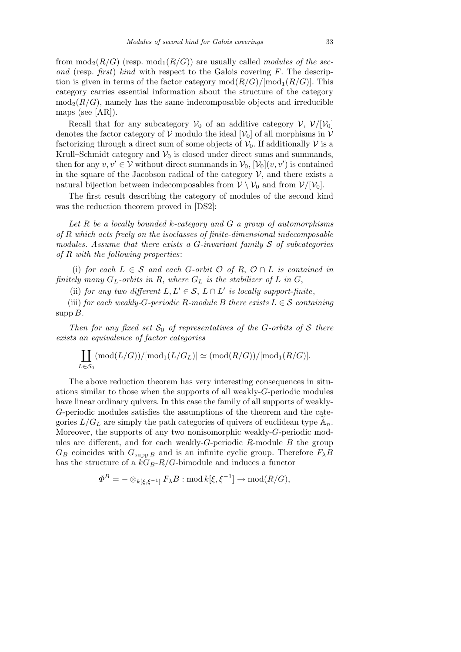from  $\text{mod}_2(R/G)$  (resp.  $\text{mod}_1(R/G)$ ) are usually called *modules of the second* (resp. *first*) *kind* with respect to the Galois covering *F*. The description is given in terms of the factor category  $mod(R/G)/mod_1(R/G)$ . This category carries essential information about the structure of the category  $\text{mod}_2(R/G)$ , namely has the same indecomposable objects and irreducible maps (see [AR]).

Recall that for any subcategory  $V_0$  of an additive category  $V$ ,  $V/[\mathcal{V}_0]$ denotes the factor category of  $V$  modulo the ideal  $[V_0]$  of all morphisms in  $V$ factorizing through a direct sum of some objects of  $V_0$ . If additionally  $V$  is a Krull–Schmidt category and  $V_0$  is closed under direct sums and summands, then for any  $v, v' \in V$  without direct summands in  $V_0$ ,  $[V_0](v, v')$  is contained in the square of the Jacobson radical of the category  $V$ , and there exists a natural bijection between indecomposables from  $V \setminus V_0$  and from  $V/[V_0]$ .

The first result describing the category of modules of the second kind was the reduction theorem proved in [DS2]:

*Let R be a locally bounded k-category and G a group of automorphisms of R which acts freely on the isoclasses of finite-dimensional indecomposable modules. Assume that there exists a G-invariant family S of subcategories of R with the following properties*:

(i) *for each*  $L \in S$  *and each*  $G$ *-orbit*  $O$  *of*  $R$ ,  $O \cap L$  *is contained in finitely many*  $G_L$ -orbits in  $R$ , where  $G_L$  is the stabilizer of  $L$  in  $G$ ,

(ii) *for any two different*  $L, L' \in \mathcal{S}, L \cap L'$  *is locally support-finite*,

(iii) *for each weakly-G-periodic*  $R$ *-module*  $B$  *there exists*  $L \in S$  *containing* supp  $B$ *.* 

*Then for any fixed set*  $S_0$  *of representatives of the G-orbits of*  $S$  *there exists an equivalence of factor categories*

$$
\coprod_{L\in\mathcal{S}_0} (\mathrm{mod}(L/G)) / [\mathrm{mod}_1(L/G_L)] \simeq (\mathrm{mod}(R/G)) / [\mathrm{mod}_1(R/G)].
$$

The above reduction theorem has very interesting consequences in situations similar to those when the supports of all weakly-*G*-periodic modules have linear ordinary quivers. In this case the family of all supports of weakly-*G*-periodic modules satisfies the assumptions of the theorem and the categories  $L/G_L$  are simply the path categories of quivers of euclidean type  $\mathbb{A}_n$ . Moreover, the supports of any two nonisomorphic weakly-*G*-periodic modules are different, and for each weakly-*G*-periodic *R*-module *B* the group  $G_B$  coincides with  $G_{\text{supp }B}$  and is an infinite cyclic group. Therefore  $F_\lambda B$ has the structure of a  $kG_B-R/G$ -bimodule and induces a functor

$$
\Phi^B = - \otimes_{k[\xi, \xi^{-1}]} F_{\lambda} B : \text{mod } k[\xi, \xi^{-1}] \to \text{mod}(R/G),
$$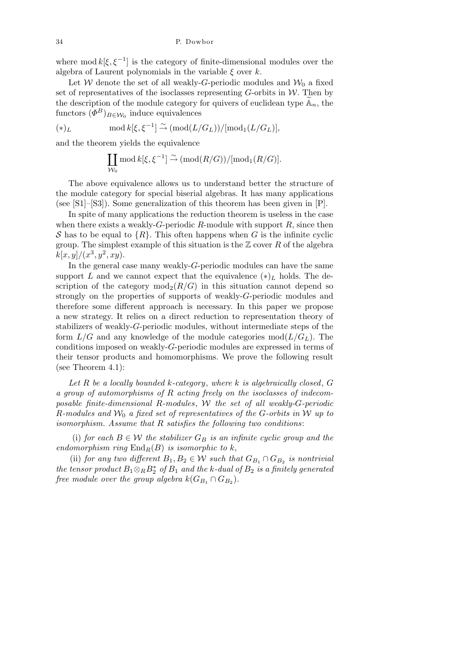where mod  $k[\xi, \xi^{-1}]$  is the category of finite-dimensional modules over the algebra of Laurent polynomials in the variable  $\xi$  over  $k$ .

Let *W* denote the set of all weakly-*G*-periodic modules and  $W_0$  a fixed set of representatives of the isoclasses representing *G*-orbits in *W*. Then by the description of the module category for quivers of euclidean type  $\mathbb{A}_n$ , the functors  $(\Phi^B)_{B \in \mathcal{W}_0}$  induce equivalences

$$
(*)_L\hspace{1cm}\operatorname{mod} k[\xi,\xi^{-1}]\stackrel{\sim}{\to} (\operatorname{mod}(L/G_L))/[\operatorname{mod}_1(L/G_L)],
$$

and the theorem yields the equivalence

$$
\coprod_{\mathcal{W}_0} \operatorname{mod} k[\xi, \xi^{-1}] \stackrel{\sim}{\to} (\operatorname{mod}(R/G)) / [\operatorname{mod}_1(R/G)].
$$

The above equivalence allows us to understand better the structure of the module category for special biserial algebras. It has many applications (see [S1]–[S3]). Some generalization of this theorem has been given in [P].

In spite of many applications the reduction theorem is useless in the case when there exists a weakly-*G*-periodic *R*-module with support *R*, since then *S* has to be equal to  ${R}$ . This often happens when *G* is the infinite cyclic group. The simplest example of this situation is the  $\mathbb Z$  cover  $R$  of the algebra  $k[x, y]/(x^3, y^2, xy)$ .

In the general case many weakly-*G*-periodic modules can have the same support *L* and we cannot expect that the equivalence  $(*)_L$  holds. The description of the category  $mod_2(R/G)$  in this situation cannot depend so strongly on the properties of supports of weakly-*G*-periodic modules and therefore some different approach is necessary. In this paper we propose a new strategy. It relies on a direct reduction to representation theory of stabilizers of weakly-*G*-periodic modules, without intermediate steps of the form  $L/G$  and any knowledge of the module categories  $mod(L/G_L)$ . The conditions imposed on weakly-*G*-periodic modules are expressed in terms of their tensor products and homomorphisms. We prove the following result (see Theorem 4.1):

*Let R be a locally bounded k-category*, *where k is algebraically closed*, *G a group of automorphisms of R acting freely on the isoclasses of indecomposable finite-dimensional R-modules*, *W the set of all weakly-G-periodic R-modules and W*<sup>0</sup> *a fixed set of representatives of the G-orbits in W up to isomorphism. Assume that R satisfies the following two conditions*:

(i) *for each*  $B \in \mathcal{W}$  *the stabilizer*  $G_B$  *is an infinite cyclic group and the endomorphism ring*  $\text{End}_R(B)$  *is isomorphic to*  $k$ ,

(ii) *for any two different*  $B_1, B_2 \in \mathcal{W}$  *such that*  $G_{B_1} \cap G_{B_2}$  *is nontrivial*  $\mathcal{L}_1 \otimes \mathcal{L}_2 \otimes \mathcal{L}_3 \otimes \mathcal{L}_4$  *the*  $k$ *-dual of*  $B_2$  *is a finitely generated free module over the group algebra*  $k(G_{B_1} \cap G_{B_2})$ *.*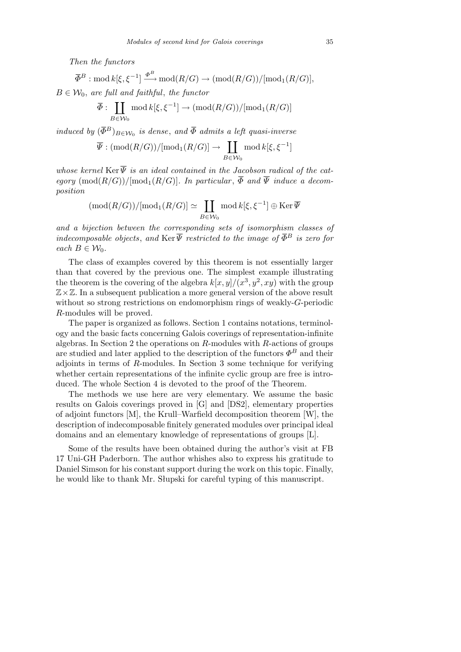*Then the functors*

$$
\overline{\Phi}^B : \text{mod } k[\xi, \xi^{-1}] \xrightarrow{\Phi^B} \text{mod}(R/G) \to (\text{mod}(R/G)) / [\text{mod}_1(R/G)],
$$
  

$$
B \in \mathcal{W}_0, \text{ are full and faithful, the functor}
$$

$$
\overline{\Phi}: \coprod_{B \in \mathcal{W}_0} \operatorname{mod} k[\xi, \xi^{-1}] \to (\operatorname{mod}(R/G)) / [\operatorname{mod}_1(R/G)]
$$

*induced by*  $(\overline{\Phi}^B)_{B\in\mathcal{W}_0}$  *is dense, and*  $\overline{\Phi}$  *admits a left quasi-inverse* 

$$
\overline{\Psi}: (\text{mod}(R/G)) / [\text{mod}_1(R/G)] \to \coprod_{B \in \mathcal{W}_0} \text{mod } k[\xi, \xi^{-1}]
$$

*whose kernel* Ker  $\overline{\Psi}$  *is an ideal contained in the Jacobson radical of the cat-* $\epsilon q \text{ or } q$  (mod( $R/G$ ))/[mod<sub>1</sub>( $R/G$ )]. In particular,  $\overline{\Phi}$  and  $\overline{\Psi}$  *induce a decomposition*

$$
(\mathrm{mod}(R/G)) / [\mathrm{mod}_1(R/G)] \simeq \coprod_{B \in \mathcal{W}_0} \mathrm{mod}\, k[\xi, \xi^{-1}] \oplus \mathrm{Ker}\, \overline{\Psi}
$$

*and a bijection between the corresponding sets of isomorphism classes of indecomposable objects, and*  $\text{Ker } \overline{\Psi}$  *restricted to the image of*  $\overline{\Phi}^B$  *is zero for each*  $B \in \mathcal{W}_0$ .

The class of examples covered by this theorem is not essentially larger than that covered by the previous one. The simplest example illustrating the theorem is the covering of the algebra  $k[x, y]/(x^3, y^2, xy)$  with the group Z*×*Z. In a subsequent publication a more general version of the above result without so strong restrictions on endomorphism rings of weakly-*G*-periodic *R*-modules will be proved.

The paper is organized as follows. Section 1 contains notations, terminology and the basic facts concerning Galois coverings of representation-infinite algebras. In Section 2 the operations on *R*-modules with *R*-actions of groups are studied and later applied to the description of the functors  $\Phi^B$  and their adjoints in terms of *R*-modules. In Section 3 some technique for verifying whether certain representations of the infinite cyclic group are free is introduced. The whole Section 4 is devoted to the proof of the Theorem.

The methods we use here are very elementary. We assume the basic results on Galois coverings proved in [G] and [DS2], elementary properties of adjoint functors [M], the Krull–Warfield decomposition theorem [W], the description of indecomposable finitely generated modules over principal ideal domains and an elementary knowledge of representations of groups [L].

Some of the results have been obtained during the author's visit at FB 17 Uni-GH Paderborn. The author whishes also to express his gratitude to Daniel Simson for his constant support during the work on this topic. Finally, he would like to thank Mr. Słupski for careful typing of this manuscript.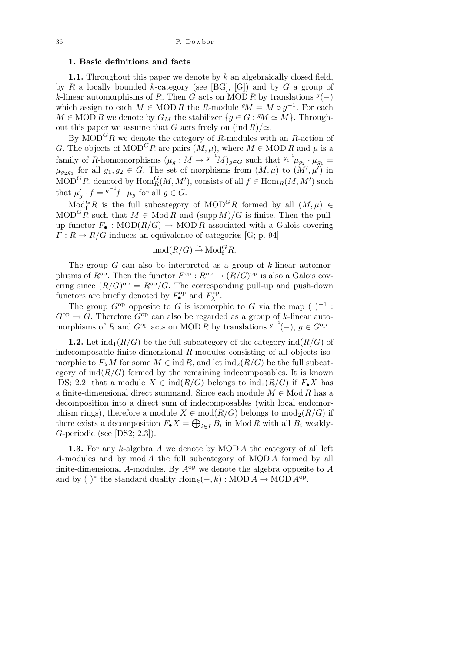## **1. Basic definitions and facts**

**1.1.** Throughout this paper we denote by *k* an algebraically closed field, by *R* a locally bounded *k*-category (see [BG], [G]) and by *G* a group of *k*-linear automorphisms of *R*. Then *G* acts on MOD *R* by translations  $g(-)$ which assign to each  $M \in \text{MOD } R$  the *R*-module  $^gM = M \circ g^{-1}$ . For each  $M \in \text{MOD } R$  we denote by  $G_M$  the stabilizer  $\{g \in G : g_M \simeq M\}$ . Throughout this paper we assume that *G* acts freely on  $(\text{ind } R)/\simeq$ .

By  $MOD^GR$  we denote the category of *R*-modules with an *R*-action of *G*. The objects of  $\text{MOD}^G R$  are pairs  $(M, \mu)$ , where  $M \in \text{MOD } R$  and  $\mu$  is a family of *R*-homomorphisms  $(\mu_g : M \to g^{-1}M)_{g \in G}$  such that  $g_1^{-1} \mu_{g_2} \cdot \mu_{g_1} =$  $\mu_{g_2g_1}$  for all  $g_1, g_2 \in G$ . The set of morphisms from  $(M, \mu)$  to  $(M', \mu')$  in  $\text{MOD}^G R$ , denoted by  $\text{Hom}_R^G(M, M')$ , consists of all  $f \in \text{Hom}_R(M, M')$  such that  $\mu'_g \cdot f = g^{-1}f \cdot \mu_g$  for all  $g \in G$ .

 $\text{Mod}_{f}^{G}R$  is the full subcategory of  $\text{MOD}^{G}R$  formed by all  $(M,\mu) \in$  $\text{MOD}^G \overset{\circ}{R}$  such that  $M \in \text{Mod } R$  and  $(\text{supp } M)/G$  is finite. Then the pullup functor  $F_{\bullet}$ : MOD( $R/G$ )  $\rightarrow$  MOD  $R$  associated with a Galois covering  $F: R \to R/G$  induces an equivalence of categories [G; p. 94]

$$
\operatorname{mod}(R/G) \xrightarrow{\sim} \operatorname{Mod}^G_{\operatorname{f}} R.
$$

The group *G* can also be interpreted as a group of *k*-linear automorphisms of  $R^{\text{op}}$ . Then the functor  $F^{\text{op}}: R^{\text{op}} \to (R/G)^{\text{op}}$  is also a Galois covering since  $(R/G)^{op} = R^{op}/G$ . The corresponding pull-up and push-down functors are briefly denoted by  $F_{\bullet}^{\text{op}}$  and  $F_{\lambda}^{\text{op}}$ *λ* .

The group  $G^{\text{op}}$  opposite to *G* is isomorphic to *G* via the map ( $)$ <sup>-1</sup> :  $G^{\text{op}} \to G$ . Therefore  $G^{\text{op}}$  can also be regarded as a group of *k*-linear automorphisms of *R* and  $G^{\text{op}}$  acts on MOD *R* by translations  $g^{-1}(-)$ ,  $g \in G^{\text{op}}$ .

**1.2.** Let  $\text{ind}_{1}(R/G)$  be the full subcategory of the category  $\text{ind}(R/G)$  of indecomposable finite-dimensional *R*-modules consisting of all objects isomorphic to  $F_\lambda M$  for some  $M \in \text{ind } R$ , and let  $\text{ind}_2(R/G)$  be the full subcategory of  $\text{ind}(R/G)$  formed by the remaining indecomposables. It is known [DS; 2.2] that a module  $X \in \text{ind}(R/G)$  belongs to  $\text{ind}_1(R/G)$  if  $F_{\bullet}X$  has a finite-dimensional direct summand. Since each module  $M \in Mod R$  has a decomposition into a direct sum of indecomposables (with local endomorphism rings), therefore a module  $X \in \text{mod}(R/G)$  belongs to  $\text{mod}_2(R/G)$  if there exists a decomposition  $F_{\bullet}X = \bigoplus_{i \in I} B_i$  in Mod *R* with all  $B_i$  weakly-*G*-periodic (see [DS2; 2.3]).

**1.3.** For any *k*-algebra *A* we denote by MOD *A* the category of all left *A*-modules and by mod *A* the full subcategory of MOD *A* formed by all finite-dimensional *A*-modules. By *A*op we denote the algebra opposite to *A* and by ( )<sup>\*</sup> the standard duality  $\text{Hom}_k(-,k) : \text{MOD } A \to \text{MOD } A^{\text{op}}.$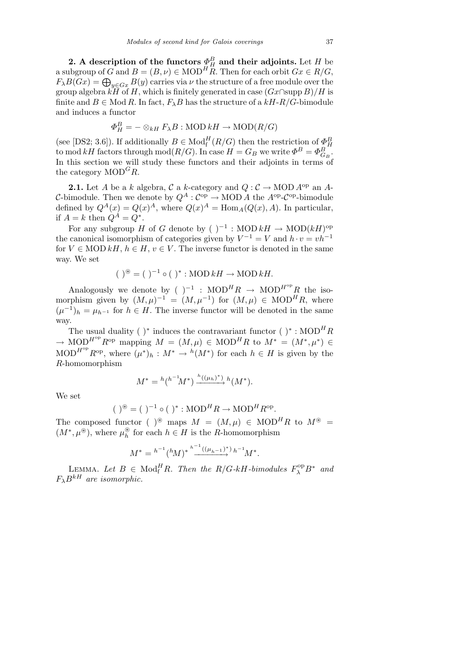**2.** A description of the functors  $\Phi_H^B$  and their adjoints. Let *H* be a subgroup of *G* and  $B = (B, \nu) \in \text{MOD}^H\overline{R}$ . Then for each orbit  $Gx \in R/G$ ,  $F_{\lambda}B(Gx) = \bigoplus_{y \in Gx} B(y)$  carries via *ν* the structure of a free module over the group algebra  $k\widetilde{H}$  of *H*, which is finitely generated in case  $(Gx \cap \text{supp } B)/H$  is finite and  $B \in \text{Mod } R$ . In fact,  $F_{\lambda}B$  has the structure of a  $kH-R/G$ -bimodule and induces a functor

$$
\Phi_H^B = -\otimes_{kH} F_{\lambda} B : \text{MOD } kH \to \text{MOD}(R/G)
$$

(see [DS2; 3.6]). If additionally  $B \in Mod_f^H(R/G)$  then the restriction of  $\Phi_H^B$ to mod *kH* factors through mod( $R/G$ ). In case  $H = G_B$  we write  $\Phi^B = \Phi_{G_B}^B$ . In this section we will study these functors and their adjoints in terms of the category  $\text{MOD}^G R$ .

**2.1.** Let *A* be a *k* algebra, *C* a *k*-category and  $Q: C \to \text{MOD } A^{\text{op}}$  an *A*-*C*-bimodule. Then we denote by  $Q^A : C^{op} \to \text{MOD } A$  the  $A^{op}\text{-}C^{op}\text{-bimodule}$ defined by  $Q^{A}(x) = Q(x)^{A}$ , where  $Q(x)^{A} = \text{Hom}_{A}(Q(x), A)$ . In particular, if  $A = k$  then  $Q^A = Q^*$ .

For any subgroup *H* of *G* denote by ( )<sup>-1</sup> : MOD  $kH \to \text{MOD}(kH)$ <sup>op</sup> the canonical isomorphism of categories given by  $V^{-1} = V$  and  $h \cdot v = v h^{-1}$ for  $V \in \text{MOD } kH, h \in H, v \in V$ . The inverse functor is denoted in the same way. We set

$$
(*)^{\circledast} = (*)^{-1} \circ (*)^* : \text{MOD} \, kH \to \text{MOD} \, kH.
$$

Analogously we denote by  $( )^{-1}$  : MOD<sup>*H*</sup>R  $\rightarrow$  MOD<sup>*H*<sup>op</sup></sup>R the isomorphism given by  $(M, \mu)^{-1} = (M, \mu^{-1})$  for  $(M, \mu) \in \text{MOD}^H R$ , where  $(\mu^{-1})_h = \mu_{h^{-1}}$  for  $h \in H$ . The inverse functor will be denoted in the same way.

The usual duality ( )*<sup>∗</sup>* induces the contravariant functor ( )*<sup>∗</sup>* : MOD*<sup>H</sup>R*  $\rightarrow$  MOD<sup>*H*<sup>op</sup></sup> *R*<sup>op</sup> mapping *M* = (*M*,  $\mu$ )  $\in$  MOD<sup>*H*</sup>*R* to  $M^* = (M^*, \mu^*) \in$  $\text{MOD}^{H^{op}}$   $R^{op}$ , where  $(\mu^*)_h : M^* \to h(M^*)$  for each  $h \in H$  is given by the *R*-homomorphism

$$
M^* = {}^h({}^{h^{-1}}\!M^*) \xrightarrow{h((\mu_h)^*)} {}^h(M^*).
$$

We set

$$
(*)^{\circledast} = (*)^{-1} \circ (*)^* : \text{MOD}^H R \to \text{MOD}^H R^{\text{op}}.
$$

The composed functor ( $e^{i\theta}$  maps  $M = (M, \mu) \in \text{MOD}^H R$  to  $M^* =$  $(M^*, \mu^*),$  where  $\mu_h^*$  for each  $h \in H$  is the *R*-homomorphism

$$
M^* = {}^{h^{-1}} ({}^h M)^* \xrightarrow{h^{-1} ((\mu_{h^{-1}})^*)} h^{-1} M^*.
$$

LEMMA. Let  $B \in \text{Mod}_{\text{f}}^H R$ . Then the  $R/G$ - $kH$ -bimodules  $F_{\lambda}^{\text{op}} B^*$  and  $F_{\lambda}B^{kH}$  *are isomorphic.*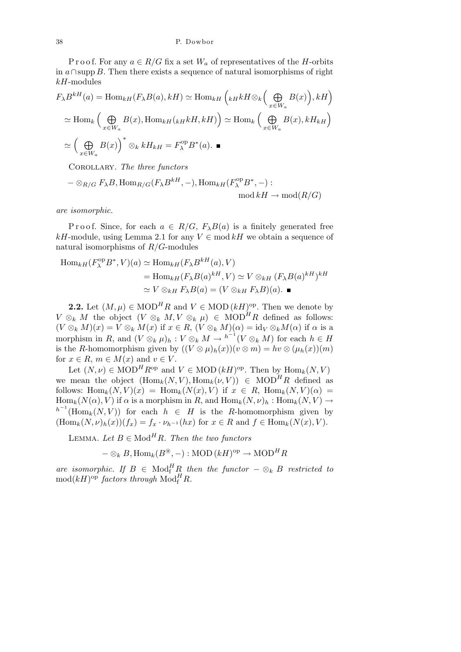P r o o f. For any  $a \in R/G$  fix a set  $W_a$  of representatives of the *H*-orbits in *a∩*supp *B*. Then there exists a sequence of natural isomorphisms of right *kH*-modules  $\mathbf{r}$ 

$$
F_{\lambda}B^{kH}(a) = \text{Hom}_{kH}(F_{\lambda}B(a), kH) \simeq \text{Hom}_{kH}\left(_{kH}kH \otimes_k \left(\bigoplus_{x \in W_a} B(x)\right), kH\right)
$$
  
\simeq 
$$
\text{Hom}_{k}\left(\bigoplus_{x \in W_a} B(x), \text{Hom}_{kH}(_{kH}kH, kH)\right) \simeq \text{Hom}_{k}\left(\bigoplus_{x \in W_a} B(x), kH_{kH}\right)
$$
  
\simeq 
$$
\left(\bigoplus_{x \in W_a} B(x)\right)^* \otimes_k kH_{kH} = F_{\lambda}^{\text{op}}B^*(a). \blacksquare
$$

Corollary. *The three functors*

$$
- \otimes_{R/G} F_{\lambda}B, \text{Hom}_{R/G}(F_{\lambda}B^{kH}, -), \text{Hom}_{kH}(F_{\lambda}^{\text{op}}B^*, -):
$$
  
mod  $kH \to \text{mod}(R/G)$ 

*are isomorphic.*

Proof. Since, for each  $a \in R/G$ ,  $F_{\lambda}B(a)$  is a finitely generated free *kH*-module, using Lemma 2.1 for any  $V \in \text{mod } k$ *H* we obtain a sequence of natural isomorphisms of *R/G*-modules

$$
\begin{aligned} \text{Hom}_{kH}(F_{\lambda}^{\text{op}}B^*, V)(a) &\simeq \text{Hom}_{kH}(F_{\lambda}B^{kH}(a), V) \\ &= \text{Hom}_{kH}(F_{\lambda}B(a)^{kH}, V) \simeq V \otimes_{kH} (F_{\lambda}B(a)^{kH})^{kH} \\ &\simeq V \otimes_{kH} F_{\lambda}B(a) = (V \otimes_{kH} F_{\lambda}B)(a). \end{aligned}
$$

**2.2.** Let  $(M, \mu) \in \text{MOD}^H R$  and  $V \in \text{MOD}(kH)^\text{op}$ . Then we denote by *V* ⊗*k M* the object  $(V \otimes_k M, V \otimes_k \mu)$  ∈ MOD<sup>*H*</sup>*R* defined as follows:  $(V \otimes_k M)(x) = V \otimes_k M(x)$  if  $x \in R$ ,  $(V \otimes_k M)(\alpha) = id_V \otimes_k M(\alpha)$  if  $\alpha$  is a morphism in *R*, and  $(V \otimes_k \mu)_h : V \otimes_k M \to h^{-1}(V \otimes_k M)$  for each  $h \in H$ is the *R*-homomorphism given by  $((V \otimes \mu)_h(x))(v \otimes m) = hv \otimes (\mu_h(x))(m)$ for  $x \in R$ ,  $m \in M(x)$  and  $v \in V$ .

Let  $(N, \nu) \in \text{MOD}^H R^{\text{op}}$  and  $V \in \text{MOD}(kH)^{\text{op}}$ . Then by  $\text{Hom}_k(N, V)$ we mean the object  $(\text{Hom}_k(N, V), \text{Hom}_k(\nu, V)) \in \text{MOD}^H R$  defined as follows:  $\text{Hom}_k(N, V)(x) = \text{Hom}_k(N(x), V)$  if  $x \in R$ ,  $\text{Hom}_k(N, V)(\alpha) =$  $\text{Hom}_k(N(\alpha), V)$  if  $\alpha$  is a morphism in *R*, and  $\text{Hom}_k(N, \nu)_h : \text{Hom}_k(N, V) \to$  $h^{-1}(\text{Hom}_k(N, V))$  for each  $h \in H$  is the *R*-homomorphism given by  $(\text{Hom}_k(N,\nu)_h(x))(f_x) = f_x \cdot \nu_{h^{-1}}(hx)$  for  $x \in R$  and  $f \in \text{Hom}_k(N(x),V)$ .

LEMMA. Let  $B \in \text{Mod}^H R$ *. Then the two functors* 

$$
- \otimes_k B, \text{Hom}_k(B^{\circledast}, -): \text{MOD}(kH)^{\text{op}} \to \text{MOD}^H R
$$

*are isomorphic.* If  $B \in \text{Mod}_{f}^{H}R$  then the functor  $-\otimes_{k} B$  restricted to  $\operatorname{mod}(k)$ <sup>op</sup> *factors through*  $\operatorname{Mod}^H_f R$ *.*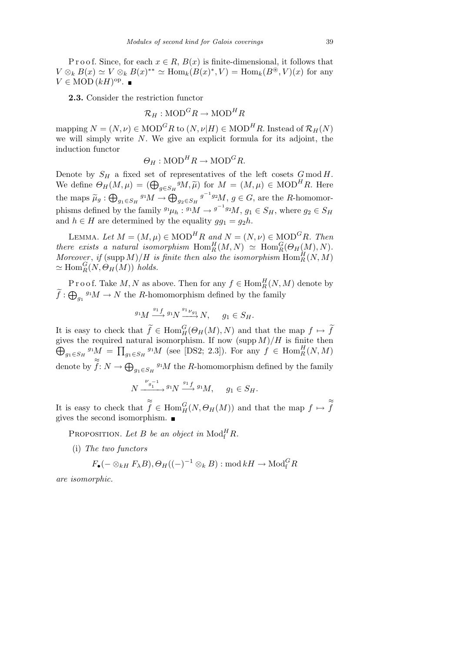P r o o f. Since, for each  $x \in R$ ,  $B(x)$  is finite-dimensional, it follows that  $V \otimes_k B(x) \simeq V \otimes_k B(x)^{**} \simeq \text{Hom}_k(B(x)^*, V) = \text{Hom}_k(B^{\circledast}, V)(x)$  for any  $V \in \text{MOD}(kH)^\text{op}.$ 

**2.3.** Consider the restriction functor

 $\mathcal{R}_H$  : MOD<sup>*G*</sup>*R*  $\rightarrow$  MOD<sup>*H*</sup>*R* 

mapping  $N = (N, \nu) \in \text{MOD}^G R$  to  $(N, \nu | H) \in \text{MOD}^H R$ . Instead of  $\mathcal{R}_H(N)$ we will simply write *N*. We give an explicit formula for its adjoint, the induction functor

$$
\Theta_H : \text{MOD}^H R \to \text{MOD}^G R.
$$

Denote by  $S_H$  a fixed set of representatives of the left cosets  $G \mod H$ . Denote by *SH* a fixed set of representatives of the fert cosets G mod *A*. We define  $Θ$ <sub>*H*</sub>(*M*,  $μ$ ) = ( $Θ$ <sub>*g*∈*S<sub>H</sub>*</sub><sup>*gM*</sup>, $\widetilde{μ}$ ) for  $M = (M, μ) ∈ \text{MOD}^H R$ . Here the maps  $\tilde{\mu}_g$  :  $\overline{a}$  $\bigoplus_{g_1 \in S_H} g_1 M \to \bigoplus$  $g_2 ∈ S_H$ <sup> $g^{-1}g_2M$ ,  $g ∈ G$ , are the *R*-homomor-</sup> phisms defined by the family  ${}^{g_1}\mu_h$ :  ${}^{g_1}M \rightarrow {}^{g^{-1}}{}^{g_2}M$ ,  $g_1 \in S_H$ , where  $g_2 \in S_H$ and  $h \in H$  are determined by the equality  $qq_1 = q_2h$ .

LEMMA. Let  $M = (M, \mu) \in \text{MOD}^H R$  and  $N = (N, \nu) \in \text{MOD}^G R$ . Then *there exists a natural isomorphism*  $\text{Hom}_R^H(M, N) \simeq \text{Hom}_R^G(\Theta_H(M), N)$ . *Moreover*, *if*  $(\text{supp } M)/H$  *is finite then also the isomorphism*  $\text{Hom}_{R}^{H}(N, M)$  $\simeq$  Hom $_R^G(N, \Theta_H(M))$  *holds.* 

P r o o f. Take  $M, N$  as above. Then for any  $f \in \text{Hom}_{R}^{H}(N, M)$  denote by  $\widetilde{f}$  :  $\bigoplus$  $g_1$ <sup>*g*<sub>1</sub></sup> $M \rightarrow N$  the *R*-homomorphism defined by the family

$$
^{g_1}M \xrightarrow{g_1 f} ^{g_1}N \xrightarrow{g_1 \nu_{g_1}} N, \quad g_1 \in S_H.
$$

It is easy to check that  $\tilde{f} \in \text{Hom}_H^G(\mathcal{O}_H(M), N)$  and that the map  $f \mapsto \tilde{f}$ gives the required natural isomorphism. If now  $(\text{supp }M)/H$  is finite then  $g_1 \in S_H$ <sup>*g*1</sup> $M = \prod$  $g_1 \in S_H$ <sup>*g*1</sup></sub>*M* (see [DS2; 2.3]). For any  $f \in \text{Hom}_R^H(N,M)$ denote by  $f: N \to$ *≈*  $\overline{a}$  $g_1 \in S_H$ <sup>*g*1</sup>*M* the *R*-homomorphism defined by the family

$$
N \xrightarrow{\nu_{g_1^{-1}}} {}^{g_1}N \xrightarrow{g_1 f} {}^{g_1}M, \quad g_1 \in S_H.
$$

It is easy to check that  $\tilde{\tilde{f}} \in \text{Hom}_{H}^{G}(N, \Theta_{H}(M))$  and that the map  $f \mapsto \tilde{\tilde{f}}$ gives the second isomorphism.

PROPOSITION. Let *B* be an object in  $\text{Mod}_{f}^{H} R$ .

(i) *The two functors*

$$
F_\bullet(-\otimes_{kH} F_\lambda B), \Theta_H((-)^{-1} \otimes_k B): \operatorname{mod} kH \to \operatorname{Mod}^G_f R
$$

*are isomorphic.*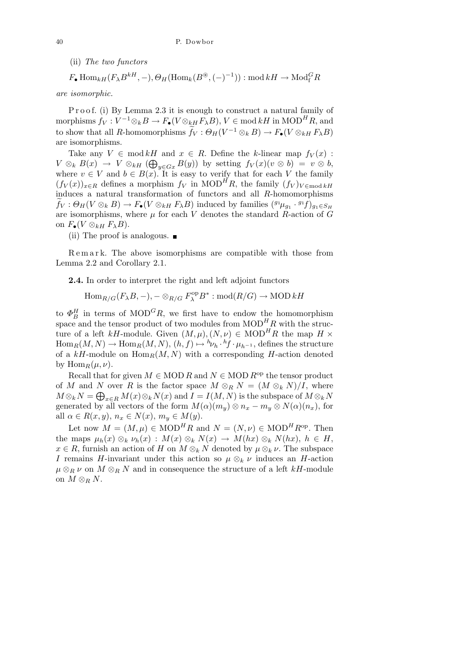(ii) *The two functors*

$$
F_{\bullet} \operatorname{Hom}_{kH}(F_{\lambda} B^{kH}, -), \Theta_H(\operatorname{Hom}_k(B^{\circledast}, (-)^{-1})) : \operatorname{mod} kH \to \operatorname{Mod}_f^G R
$$

*are isomorphic.*

Proof. (i) By Lemma 2.3 it is enough to construct a natural family of  $\text{morphisms } f_V: V^{-1}\otimes_k B \to F_\bullet(V\otimes_{kH} F_\lambda B), V\in \text{mod } kH \text{ in } \text{MOD}^H R \text{, and}$ to show that all *R*-homomorphisms  $\widetilde{f}_V : \Theta_H(V^{-1} \otimes_k B) \to F_{\bullet}(V \otimes_{kH} F_{\lambda} B)$ are isomorphisms.

Take any  $V \in \text{mod } k$  and  $x \in R$ . Define the *k*-linear map  $f_V(x)$ :  $V \otimes_k B(x) \to V \otimes_{kH} (\bigoplus_{y \in G_x} B(y))$  by setting  $f_V(x)(v \otimes b) = v \otimes b$ , where  $v \in V$  and  $b \in B(x)$ . It is easy to verify that for each *V* the family  $(f_V(x))_{x \in R}$  defines a morphism  $f_V$  in MOD<sup>H</sup>R, the family  $(f_V)_{V \in \text{mod } kH}$ induces a natural transformation of functors and all *R*-homomorphisms  $\widetilde{f}_V : \Theta_H(V \otimes_k B) \to F_{\bullet}(V \otimes_{kH} F_{\lambda}B)$  induced by families  $({}^{g_1}\mu_{g_1} \cdot {}^{g_1}f)_{g_1 \in S_H}$ are isomorphisms, where  $\mu$  for each  $V$  denotes the standard  $R$ -action of  $G$ on  $F_{\bullet}(V \otimes_{kH} F_{\lambda}B)$ .

(ii) The proof is analogous.  $\blacksquare$ 

Remark. The above isomorphisms are compatible with those from Lemma 2.2 and Corollary 2.1.

**2.4.** In order to interpret the right and left adjoint functors

 $\text{Hom}_{R/G}(F_\lambda B, -), -\otimes_{R/G} F_\lambda^{\text{op}} B^* : \text{mod}(R/G) \to \text{MOD } kH$ 

to  $\Phi_B^H$  in terms of MOD<sup>*G*</sup>R, we first have to endow the homomorphism space and the tensor product of two modules from  $\text{MOD}^H R$  with the structure of a left *kH*-module. Given  $(M, \mu), (N, \nu) \in \text{MOD}^H R$  the map  $H \times$  $\text{Hom}_R(M, N) \to \text{Hom}_R(M, N), (h, f) \mapsto {}^h\!u_h \cdot {}^h\!f \cdot \mu_{h^{-1}}$ , defines the structure of a  $kH$ -module on  $\text{Hom}_R(M, N)$  with a corresponding *H*-action denoted by  $\text{Hom}_R(\mu, \nu)$ .

Recall that for given  $M \in \text{MOD } R$  and  $N \in \text{MOD } R^{\text{op}}$  the tensor product of *M* and *N* over *R* is the factor space  $M \otimes_R N = (M \otimes_k N)/I$ , where  $M \otimes_k N = \bigoplus_{x \in R} M(x) \otimes_k N(x)$  and  $I = I(M, N)$  is the subspace of  $M \otimes_k N$ generated by all vectors of the form  $M(\alpha)(m_y) \otimes n_x - m_y \otimes N(\alpha)(n_x)$ , for all  $\alpha \in R(x, y), n_x \in N(x), m_y \in M(y)$ .

Let now  $M = (M, \mu) \in \text{MOD}^H R$  and  $N = (N, \nu) \in \text{MOD}^H R^{\text{op}}$ . Then the maps  $\mu_h(x) \otimes_k \nu_h(x) : M(x) \otimes_k N(x) \to M(hx) \otimes_k N(hx), h \in H$ ,  $x \in R$ , furnish an action of *H* on  $M \otimes_k N$  denoted by  $\mu \otimes_k \nu$ . The subspace *I* remains *H*-invariant under this action so  $\mu \otimes_k \nu$  induces an *H*-action  $\mu \otimes_R \nu$  on  $M \otimes_R N$  and in consequence the structure of a left *kH*-module on  $M \otimes_R N$ .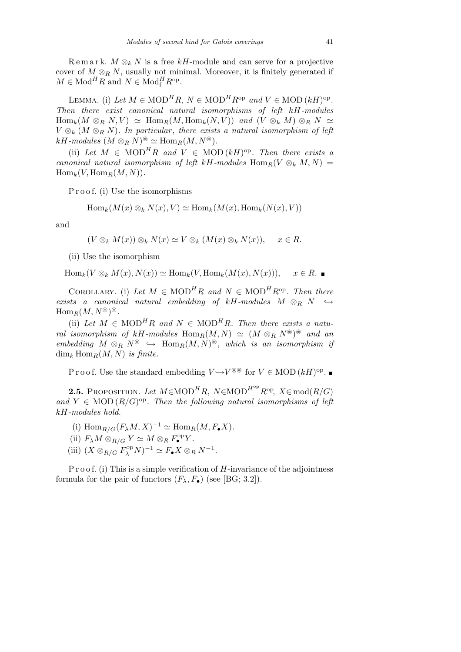Remark.  $M \otimes_k N$  is a free  $k$ H-module and can serve for a projective cover of  $M \otimes_R N$ , usually not minimal. Moreover, it is finitely generated if  $M \in \text{Mod}^H R$  and  $N \in \text{Mod}_f^H R^{\text{op}}$ .

LEMMA. (i) Let  $M \in \text{MOD}^H R$ ,  $N \in \text{MOD}^H R^{\text{op}}$  and  $V \in \text{MOD}(kH)^{\text{op}}$ . *Then there exist canonical natural isomorphisms of left kH-modules*  $\text{Hom}_k(M \otimes_R N, V) \simeq \text{Hom}_R(M, \text{Hom}_k(N, V))$  and  $(V \otimes_k M) \otimes_R N \simeq$  $V \otimes_k (M \otimes_R N)$ . In particular, there exists a natural isomorphism of left  $kH$ *-modules*  $(M \otimes_R N)^{\circledast} \simeq \text{Hom}_R(M, N^{\circledast})$ *.* 

(ii) Let  $M \in \text{MOD}^H R$  and  $V \in \text{MOD}(kH)^\text{op}$ . Then there exists a *canonical natural isomorphism of left kH-modules*  $Hom_R(V \otimes_k M, N) =$  $Hom_k(V, Hom_R(M, N)).$ 

P r o o f. (i) Use the isomorphisms

$$
\operatorname{Hom}_k(M(x)\otimes_k N(x),V)\simeq \operatorname{Hom}_k(M(x),\operatorname{Hom}_k(N(x),V))
$$

and

$$
(V \otimes_k M(x)) \otimes_k N(x) \simeq V \otimes_k (M(x) \otimes_k N(x)), \quad x \in R.
$$

(ii) Use the isomorphism

 $\text{Hom}_k(V \otimes_k M(x), N(x)) \simeq \text{Hom}_k(V, \text{Hom}_k(M(x), N(x))), \quad x \in R.$ 

COROLLARY. (i) Let  $M \in \text{MOD}^H R$  and  $N \in \text{MOD}^H R^{\text{op}}$ . Then there *exists a canonical natural embedding of*  $k$ *<i>H-modules*  $M \otimes_R N \hookrightarrow$  $\operatorname{Hom}_R(M, N^{\circledast})^{\circledast}.$ 

(ii) Let  $M \in \text{MOD}^H R$  and  $N \in \text{MOD}^H R$ *. Then there exists a natural isomorphism of kH-modules*  $Hom_R(M, N) \simeq (M \otimes_R N^*)^*$  *and an*  $embedding \ M \otimes_R N^* \hookrightarrow \ \text{Hom}_R(M,N)^*$ , *which is an isomorphism if*  $\dim_k \text{Hom}_R(M, N)$  *is finite.* 

P r o o f. Use the standard embedding  $V \hookrightarrow V^{\otimes \otimes}$  for  $V \in \text{MOD}(kH)^{\text{op}}$ .

**2.5.** PROPOSITION. Let  $M \in \text{MOD}^H R$ ,  $N \in \text{MOD}^{H^{op}} R^{op}$ ,  $X \in \text{mod}(R/G)$ and  $Y \in \text{MOD}(R/G)^\text{op}$ . Then the following natural isomorphisms of left *kH-modules hold.*

- (i)  $\text{Hom}_{R/G}(F_\lambda M, X)^{-1} \simeq \text{Hom}_R(M, F_\bullet X)$ .
- (ii)  $F_{\lambda}M \otimes_{R/G} Y \simeq M \otimes_R F_{\bullet}^{\text{op}} Y$ .
- $(iii)$   $(X \otimes_{R/G} F_{\lambda}^{\text{op}} N)^{-1} \simeq F_{\bullet} X \otimes_{R} N^{-1}$ .

P r o o f. (i) This is a simple verification of *H*-invariance of the adjointness formula for the pair of functors  $(F_{\lambda}, F_{\bullet})$  (see [BG; 3.2]).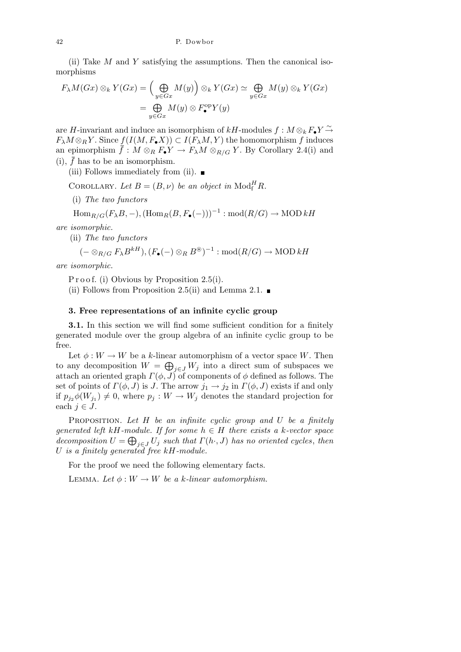(ii) Take *M* and *Y* satisfying the assumptions. Then the canonical isomorphisms  $\mathbf{r}$ 

$$
F_{\lambda}M(Gx) \otimes_k Y(Gx) = \left(\bigoplus_{y \in Gx} M(y)\right) \otimes_k Y(Gx) \simeq \bigoplus_{y \in Gx} M(y) \otimes_k Y(Gx)
$$

$$
= \bigoplus_{y \in Gx} M(y) \otimes F^{\text{op}}(x)
$$

are *H*-invariant and induce an isomorphism of *kH*-modules  $f : M \otimes_k F_{\bullet} Y \xrightarrow{\sim}$  $F_\lambda M \otimes_R Y$ . Since  $f(I(M, F_\bullet X)) \subset I(F_\lambda M, Y)$  the homomorphism *f* induces an epimorphism  $\bar{f}: M \otimes_R F_{\bullet}Y \to F_{\lambda}M \otimes_{R/G} Y$ . By Corollary 2.4(i) and (i),  $\bar{f}$  has to be an isomorphism.

(iii) Follows immediately from (ii).  $\blacksquare$ 

COROLLARY. Let  $B = (B, \nu)$  be an object in  $\text{Mod}_{f}^{H} R$ .

(i) *The two functors*

 $\text{Hom}_{R/G}(F_\lambda B,-), (\text{Hom}_R(B,F_\bullet(-)))^{-1} : \text{mod}(R/G) \to \text{MOD} kH$ 

*are isomorphic.*

(ii) *The two functors*

$$
(- \otimes_{R/G} F_{\lambda} B^{kH}), (F_{\bullet}(-) \otimes_R B^{\circledast})^{-1} : \text{mod}(R/G) \to \text{MOD} kH
$$

*are isomorphic.*

P r o o f. (i) Obvious by Proposition 2.5(i).

(ii) Follows from Proposition 2.5(ii) and Lemma 2.1.  $\blacksquare$ 

# **3. Free representations of an infinite cyclic group**

**3.1.** In this section we will find some sufficient condition for a finitely generated module over the group algebra of an infinite cyclic group to be free.

Let  $\phi: W \to W$  be a *k*-linear automorphism of a vector space W. Then to any decomposition  $W = \bigoplus_{j \in J} W_j$  into a direct sum of subspaces we attach an oriented graph  $\Gamma(\phi, J)$  of components of  $\phi$  defined as follows. The set of points of  $\Gamma(\phi, J)$  is *J*. The arrow  $j_1 \rightarrow j_2$  in  $\Gamma(\phi, J)$  exists if and only if  $p_{j2} \phi(W_{j1}) \neq 0$ , where  $p_j: W \to W_j$  denotes the standard projection for each  $j \in J$ .

Proposition. *Let H be an infinite cyclic group and U be a finitely generated left*  $kH$ *-module. If for some*  $h \in H$  *there exists a*  $k$ *-vector space decomposition*  $U = \bigoplus_{j \in J} U_j$  *such that*  $\Gamma(h \cdot, J)$  *has no oriented cycles, then U is a finitely generated free kH-module.*

For the proof we need the following elementary facts.

LEMMA. Let  $\phi: W \to W$  be a *k*-linear automorphism.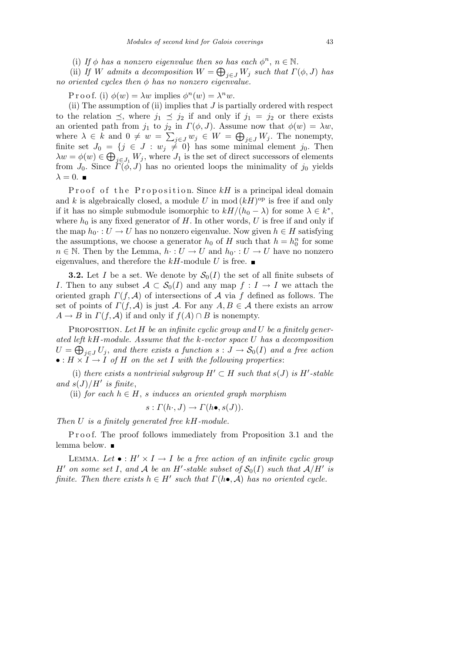(i) If  $\phi$  has a nonzero eigenvalue then so has each  $\phi^n$ ,  $n \in \mathbb{N}$ .

(ii) *If W admits a decomposition*  $W = \bigoplus_{j \in J} W_j$  *such that*  $\Gamma(\phi, J)$  *has no oriented cycles then φ has no nonzero eigenvalue.*

 $\text{Proof.}$  (i)  $\phi(w) = \lambda w$  implies  $\phi^n(w) = \lambda^n w$ .

(ii) The assumption of (ii) implies that *J* is partially ordered with respect to the relation  $\preceq$ , where  $j_1 \preceq j_2$  if and only if  $j_1 = j_2$  or there exists an oriented path from  $j_1$  to  $j_2$  in  $\Gamma(\phi, J)$ . Assume now that  $\phi(w) = \lambda w$ , where  $\lambda \in k$  and  $0 \neq w =$  $\frac{12}{2}$  $j ∈ J$   $w_j ∈ W$  =  $\mathbb{H}^1$ *j*∈*J*  $W_j$ . The nonempty, finite set  $J_0 = \{j \in J : w_j \neq 0\}$  has some minimal element  $j_0$ . Then  $\lambda w = \phi(w) \in \bigoplus_{j \in J_1} W_j$ , where  $J_1$  is the set of direct successors of elements from  $J_0$ . Since  $\Gamma(\phi, J)$  has no oriented loops the minimality of  $j_0$  yields  $\lambda = 0$ . ■

Proof of the Proposition. Since kH is a principal ideal domain and  $k$  is algebraically closed, a module  $U$  in mod  $(kH)$ <sup>op</sup> is free if and only if it has no simple submodule isomorphic to  $kH/(h_0 - \lambda)$  for some  $\lambda \in k^*$ , where  $h_0$  is any fixed generator of  $H$ . In other words,  $U$  is free if and only if the map  $h_0 \cdot : U \to U$  has no nonzero eigenvalue. Now given  $h \in H$  satisfying the assumptions, we choose a generator  $h_0$  of *H* such that  $h = h_0^n$  for some  $n \in \mathbb{N}$ . Then by the Lemma,  $h \cdot : U \to U$  and  $h_0 \cdot : U \to U$  have no nonzero eigenvalues, and therefore the  $kH$ -module  $U$  is free.

**3.2.** Let *I* be a set. We denote by  $S_0(I)$  the set of all finite subsets of *I*. Then to any subset  $A \subset S_0(I)$  and any map  $f : I \to I$  we attach the oriented graph *Γ*(*f, A*) of intersections of *A* via *f* defined as follows. The set of points of  $\Gamma(f, \mathcal{A})$  is just  $\mathcal{A}$ . For any  $A, B \in \mathcal{A}$  there exists an arrow  $A \rightarrow B$  in  $\Gamma(f, \mathcal{A})$  if and only if  $f(A) \cap B$  is nonempty.

Proposition. *Let H be an infinite cyclic group and U be a finitely generated left kH-module. Assume that the k-vector space U has a decomposition* L  $U = \bigoplus_{j \in J} U_j$ , and there exists a function  $s : J \to \mathcal{S}_0(I)$  and a free action  $\bullet$  :  $H \times I \rightarrow I$  *of*  $H$  *on the set*  $I$  *with the following properties:* 

(i) *there exists a nontrivial subgroup*  $H' \subset H$  *such that*  $s(J)$  *is*  $H'$ -stable *and*  $s(J)/H'$  *is finite*,

(ii) *for each*  $h \in H$ , *s induces an oriented graph morphism* 

$$
s: \Gamma(h \cdot, J) \to \Gamma(h \bullet, s(J)).
$$

*Then U is a finitely generated free kH-module.*

Proof. The proof follows immediately from Proposition 3.1 and the lemma below.

LEMMA. Let  $\bullet$  :  $H' \times I \rightarrow I$  be a free action of an infinite cyclic group *H*<sup> $\prime$ </sup> on some set *I*, and *A* be an *H*<sup> $\prime$ </sup>-stable subset of  $S_0(I)$  such that  $A/H'$  is *finite. Then there exists*  $h \in H'$  *such that*  $\Gamma(h\bullet, \mathcal{A})$  *has no oriented cycle.*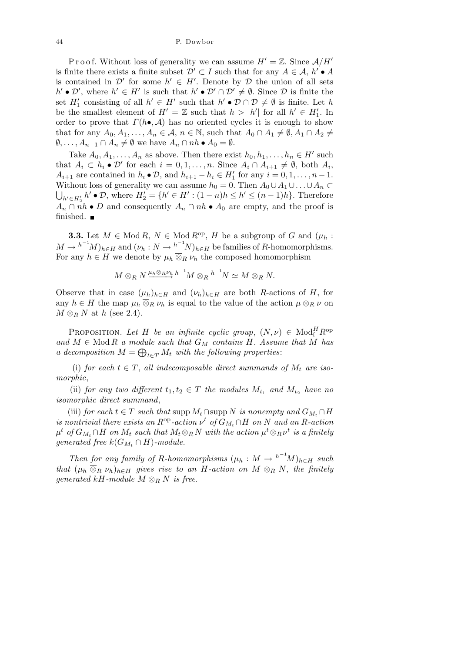Proof. Without loss of generality we can assume  $H' = \mathbb{Z}$ . Since  $A/H'$ is finite there exists a finite subset  $\mathcal{D}' \subset I$  such that for any  $A \in \mathcal{A}$ ,  $h' \bullet A$ is contained in  $\mathcal{D}'$  for some  $h' \in H'$ . Denote by  $\mathcal D$  the union of all sets  $h' \bullet \mathcal{D}'$ , where  $h' \in H'$  is such that  $h' \bullet \mathcal{D}' \cap \mathcal{D}' \neq \emptyset$ . Since  $\mathcal{D}$  is finite the set  $H'_1$  consisting of all  $h' \in H'$  such that  $h' \bullet \mathcal{D} \cap \mathcal{D} \neq \emptyset$  is finite. Let *h* be the smallest element of  $H' = \mathbb{Z}$  such that  $h > |h'|$  for all  $h' \in H'$ . In order to prove that  $\Gamma(h \bullet, \mathcal{A})$  has no oriented cycles it is enough to show that for any  $A_0, A_1, \ldots, A_n \in \mathcal{A}, n \in \mathbb{N}$ , such that  $A_0 \cap A_1 \neq \emptyset, A_1 \cap A_2 \neq \emptyset$  $\emptyset, \ldots, A_{n-1} \cap A_n \neq \emptyset$  we have  $A_n \cap nh \bullet A_0 = \emptyset$ .

Take  $A_0, A_1, \ldots, A_n$  as above. Then there exist  $h_0, h_1, \ldots, h_n \in H'$  such that  $A_i \subset h_i \bullet \mathcal{D}'$  for each  $i = 0, 1, \ldots, n$ . Since  $A_i \cap A_{i+1} \neq \emptyset$ , both  $A_i$ , *A*<sub>*i*+1</sub> are contained in  $h_i \bullet \mathcal{D}$ , and  $h_{i+1} - h_i \in H'_1$  for any  $i = 0, 1, \ldots, n-1$ . Without loss of generality we can assume  $h_0 = 0$ . Then  $A_0 \cup A_1 \cup \ldots \cup A_n \subset$  $h' \in H'_2$   $h' \bullet \mathcal{D}$ , where  $H'_2 = \{h' \in H' : (1 - n)h \leq h' \leq (n - 1)h\}$ . Therefore  $A_n \cap nh \bullet D$  and consequently  $A_n \cap nh \bullet A_0$  are empty, and the proof is finished.  $\blacksquare$ 

**3.3.** Let  $M \in Mod R$ ,  $N \in Mod R^{\text{op}}$ ,  $H$  be a subgroup of  $G$  and  $(\mu_h :$  $M \to h^{-1}M$ <sub>*h*∈*H*</sub> and  $(\nu_h : N \to h^{-1}N)$ <sub>*h*∈*H*</sub> be families of *R*-homomorphisms. For any  $h \in H$  we denote by  $\mu_h \overline{\otimes}_R \nu_h$  the composed homomorphism

$$
M\otimes_R N\stackrel{\mu_h\otimes_R\nu_h}{\longrightarrow}^{h^{-1}}\!\!M\otimes_R{}^{h^{-1}}\!\!N\simeq M\otimes_R N.
$$

Observe that in case  $(\mu_h)_{h \in H}$  and  $(\nu_h)_{h \in H}$  are both *R*-actions of *H*, for any  $h \in H$  the map  $\mu_h \overline{\otimes}_R \nu_h$  is equal to the value of the action  $\mu \otimes_R \nu$  on  $M \otimes_R N$  at *h* (see 2.4).

PROPOSITION. Let *H* be an infinite cyclic group,  $(N, \nu) \in \text{Mod}_{f}^{H} R^{\text{op}}$  $and M \in Mod R$  *a* module such that  $G_M$  contains  $H$ *. Assume that*  $M$  has *a decomposition*  $M = \bigoplus_{t \in T} M_t$  *with the following properties:* 

(i) *for each*  $t \in T$ , *all indecomposable direct summands of*  $M_t$  *are isomorphic*,

(ii) *for any two different*  $t_1, t_2 \in T$  *the modules*  $M_{t_1}$  *and*  $M_{t_2}$  *have no isomorphic direct summand*,

(iii) *for each*  $t \in T$  *such that* supp  $M_t \cap \text{supp } N$  *is nonempty and*  $G_{M_t} \cap H$ *is nontrivial there exists an*  $R^{op}$ *-action*  $\nu^t$  *of*  $G_{M_t} \cap H$  *on*  $N$  *and an*  $R$ *-action*  $\mu^t$  of  $G_{M_t}\cap H$  on  $M_t$  such that  $M_t\otimes_R N$  with the action  $\mu^t\otimes_R \nu^t$  is a finitely *generated free*  $k(G_{M_t} \cap H)$ *-module.* 

*Then for any family of R-homomorphisms*  $(\mu_h : M \to h^{-1}M)_{h \in H}$  *such that*  $(\mu_h \otimes_R \nu_h)_{h \in H}$  *gives rise to an H-action on*  $M \otimes_R N$ *, the finitely generated*  $k$ *H-module*  $M \otimes_R N$  *is free.*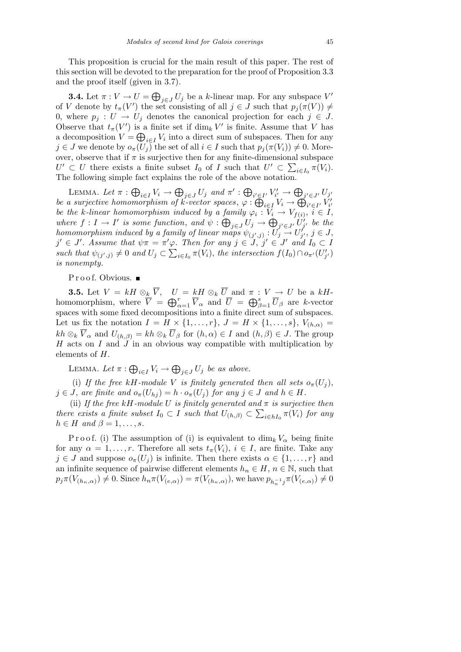This proposition is crucial for the main result of this paper. The rest of this section will be devoted to the preparation for the proof of Proposition 3.3 and the proof itself (given in 3.7).

**3.4.** Let  $\pi: V \to U$  =  $\overline{a}$ *j*∈*J*  $U_j$  be a *k*-linear map. For any subspace  $V'$ of *V* denote by  $t_{\pi}(V')$  the set consisting of all  $j \in J$  such that  $p_j(\pi(V)) \neq$ 0, where  $p_j : U \to U_j$  denotes the canonical projection for each  $j \in J$ . Observe that  $t_{\pi}(V')$  is a finite set if  $\dim_k V'$  is finite. Assume that *V* has a decomposition  $V = \bigoplus_{i \in I} V_i$  into a direct sum of subspaces. Then for any  $j \in J$  we denote by  $o_{\pi}(U_j)$  the set of all  $i \in I$  such that  $p_j(\pi(V_i)) \neq 0$ . Moreover, observe that if  $\pi$  is surjective then for any finite-dimensional subspace  $U' \subset U$  there exists a finite subset *I*<sub>0</sub> of *I* such that  $U' \subset \sum_{i \in I_0} \pi(V_i)$ . The following simple fact explains the role of the above notation.

LEMMA. Let  $\pi$ :  $\overline{a}$ *i∈I V<sup>i</sup> →*  $\overline{a}$  $j \in J$  *U*<sup>*j*</sup> *and*  $\pi'$  :  $\overline{a}$  $i' \in I'$ <sup>*V*</sup><sup>*i*</sup> →  $\overline{a}$  $j' \in J'$ <sup>*Uj*</sup> *be a surjective homomorphism of*  $k$ *-vector spaces,*  $\varphi$ :  $\leq$ *i∈I V<sup>i</sup> →*  $\mathcal{L}_j$  $i' \in I'$   $V'_{i'}$ *be the k*-linear homomorphism induced by a family  $\varphi_i : V_i \to V_{f(i)}, i \in I$ , where  $f: I \to I'$  is some function, and  $\psi: \bigoplus_{j \in J} U_j \to \bigoplus_{j' \in J'} U'_{j'}$  be the *homomorphism induced by a family of linear maps*  $\psi_{(j',j)} : U_j \to U'_{j'}$ *,*  $j \in J$ *,*  $j' \in J'$ . Assume that  $\psi \pi = \pi' \varphi$ . Then for any  $j \in J, j' \in J'$  and  $I_0 \subset I$ such that  $\psi_{(j',j)} \neq 0$  and  $U_j \subset \sum_{i \in I_0} \pi(V_i)$ , the intersection  $f(I_0) \cap o_{\pi'}(U'_{j'})$ *is nonempty.*

Proof. Obvious.

**3.5.** Let  $V = kH \otimes_k \overline{V}$ ,  $U = kH \otimes_k \overline{U}$  and  $\pi : V \to U$  be a  $kH$ **both**  $V = kT \otimes_k V$ ,  $U$ <br>homomorphism, where  $\overline{V} = \bigoplus_{\alpha}^{r}$  $\frac{r}{\alpha=1}$   $\overline{V}_{\alpha}$  and  $\overline{U}$  =  $\frac{\pi}{\sqrt{N}}$  $\frac{s}{\beta=1} \overline{U}_{\beta}$  are *k*-vector spaces with some fixed decompositions into a finite direct sum of subspaces. Let us fix the notation  $I = H \times \{1, \ldots, r\}$ ,  $J = H \times \{1, \ldots, s\}$ ,  $V_{(h,\alpha)} =$  $kh \otimes_k \overline{V}_{\alpha}$  and  $U_{(h,\beta)} = kh \otimes_k \overline{U}_{\beta}$  for  $(h,\alpha) \in I$  and  $(h,\beta) \in J$ . The group *H* acts on *I* and *J* in an obvious way compatible with multiplication by elements of *H*.

LEMMA. Let  $\pi$ :  $\overline{a}$ *i∈I V<sup>i</sup> →*  $\overline{a}$  $j ∈ J$  *U*<sup>*j*</sup> *be as above.* 

(i) If the free kH-module V is finitely generated then all sets  $o_{\pi}(U_i)$ ,  $j \in J$ , are finite and  $o_{\pi}(U_{hj}) = h \cdot o_{\pi}(U_j)$  for any  $j \in J$  and  $h \in H$ .

(ii) *If the free kH-module*  $U$  *is finitely generated and*  $\pi$  *is surjective then there exists a finite subset*  $I_0 \subset I$  *such that*  $U_{(h,\beta)} \subset \sum_{i \in hI_0} \pi(V_i)$  *for any*  $h \in H$  *and*  $\beta = 1, \ldots, s$ *.* 

Proof. (i) The assumption of (i) is equivalent to  $\dim_k V_\alpha$  being finite for any  $\alpha = 1, \ldots, r$ . Therefore all sets  $t_{\pi}(V_i)$ ,  $i \in I$ , are finite. Take any  $j \in J$  and suppose  $o_{\pi}(U_j)$  is infinite. Then there exists  $\alpha \in \{1, \ldots, r\}$  and an infinite sequence of pairwise different elements  $h_n \in H$ ,  $n \in \mathbb{N}$ , such that  $p_j \pi(V_{(h_n,\alpha)}) \neq 0$ . Since  $h_n \pi(V_{(e,\alpha)}) = \pi(V_{(h_n,\alpha)})$ , we have  $p_{h_n^{-1}j} \pi(V_{(e,\alpha)}) \neq 0$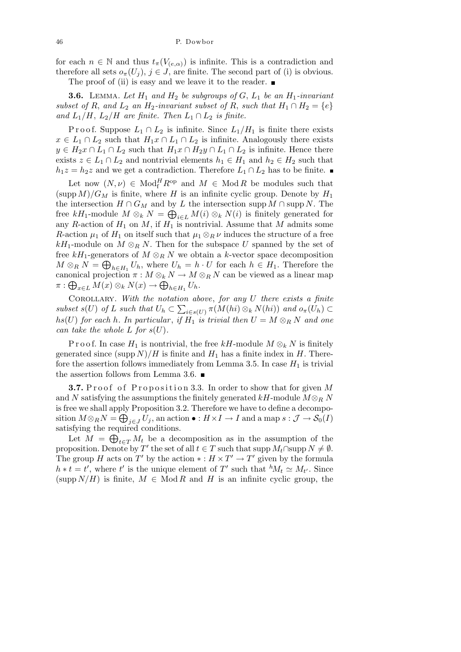46 P. Dowbor

for each  $n \in \mathbb{N}$  and thus  $t_{\pi}(V_{(e,\alpha)})$  is infinite. This is a contradiction and therefore all sets  $o_{\pi}(U_i)$ ,  $j \in J$ , are finite. The second part of (i) is obvious. The proof of (ii) is easy and we leave it to the reader.  $\blacksquare$ 

**3.6.** LEMMA. Let  $H_1$  and  $H_2$  be subgroups of  $G$ ,  $L_1$  be an  $H_1$ -invariant *subset of R*, and  $L_2$  *an*  $H_2$ *-invariant subset of R*, *such that*  $H_1 \cap H_2 = \{e\}$ *and*  $L_1/H$ ,  $L_2/H$  *are finite. Then*  $L_1 \cap L_2$  *is finite.* 

Proof. Suppose  $L_1 \cap L_2$  is infinite. Since  $L_1/H_1$  is finite there exists  $x \in L_1 \cap L_2$  such that  $H_1 x \cap L_1 \cap L_2$  is infinite. Analogously there exists *y* ∈ *H*<sub>2</sub>*x* ∩ *L*<sub>1</sub> ∩ *L*<sub>2</sub> such that *H*<sub>1</sub>*x* ∩ *H*<sub>2</sub>*y* ∩ *L*<sub>1</sub> ∩ *L*<sub>2</sub> is infinite. Hence there exists  $z \in L_1 \cap L_2$  and nontrivial elements  $h_1 \in H_1$  and  $h_2 \in H_2$  such that *h*<sub>1</sub>*z* = *h*<sub>2</sub>*z* and we get a contradiction. Therefore  $L_1 ∩ L_2$  has to be finite.

Let now  $(N, \nu) \in Mod_f^H R^{\text{op}}$  and  $M \in Mod_R^R$  be modules such that  $(\text{supp }M)/G_M$  is finite, where *H* is an infinite cyclic group. Denote by  $H_1$ the intersection  $H \cap G_M$  and by  $L$  the intersection supp  $M \cap \text{supp } N$ . The free  $kH_1$ -module  $M \otimes_k N = \bigoplus_{i \in L} M(i) \otimes_k N(i)$  is finitely generated for any *R*-action of  $H_1$  on  $M$ , if  $H_1$  is nontrivial. Assume that  $M$  admits some *R*-action  $\mu_1$  of  $H_1$  on itself such that  $\mu_1 \otimes_R \nu$  induces the structure of a free  $kH_1$ -module on  $M \otimes_R N$ . Then for the subspace *U* spanned by the set of free  $kH_1$ -generators of  $M \otimes_R N$  we obtain a  $k$ -vector space decomposition  $M \otimes_R N = \bigoplus_{h \in H_1} U_h$ , where  $U_h = h \cdot U$  for each  $h \in H_1$ . Therefore the canonical projection  $\pi : M \otimes_k N \to M \otimes_R N$  can be viewed as a linear map  $\pi: \bigoplus_{x \in L} M(x) \otimes_k N(x) \to \bigoplus_{h \in H_1} U_h.$ 

Corollary. *With the notation above*, *for any U there exists a finite* P subset s(U) of L such that  $U_h \subset \sum_{i \in s(U)} \pi(M(hi) \otimes_k N(hi))$  and  $o_{\pi}(U_h) \subset$ *hs*(*U*) *for each h. In particular, if*  $H_1$  *is trivial then*  $U = M \otimes_R N$  *and one can take the whole*  $L$  *for*  $s(U)$ *.* 

P r o o f. In case  $H_1$  is nontrivial, the free  $kH$ -module  $M \otimes_k N$  is finitely generated since  $(\text{supp } N)/H$  is finite and  $H_1$  has a finite index in *H*. Therefore the assertion follows immediately from Lemma 3.5. In case  $H_1$  is trivial the assertion follows from Lemma 3.6.  $\blacksquare$ 

**3.7.** Proof of Proposition 3.3. In order to show that for given M and *N* satisfying the assumptions the finitely generated  $kH$ -module  $M \otimes_R N$ is free we shall apply Proposition 3.2. Therefore we have to define a decomposition  $M \otimes_R N = \bigoplus_{j \in J} U_j$ , an action  $\bullet : H \times I \to I$  and a map  $s : \mathcal{J} \to \mathcal{S}_0(I)$ satisfying the required conditions. L

Let  $M = \bigoplus_{t \in T} M_t$  be a decomposition as in the assumption of the proposition. Denote by *T*<sup> $\prime$ </sup> the set of all  $t \in T$  such that supp  $M_t \cap \text{supp } N \neq \emptyset$ . The group *H* acts on *T*<sup> $\prime$ </sup> by the action  $* : H \times T' \to T'$  given by the formula  $h * t = t'$ , where  $t'$  is the unique element of  $T'$  such that  ${}^h M_t \simeq M_{t'}$ . Since (supp  $N/H$ ) is finite,  $M \in Mod R$  and  $H$  is an infinite cyclic group, the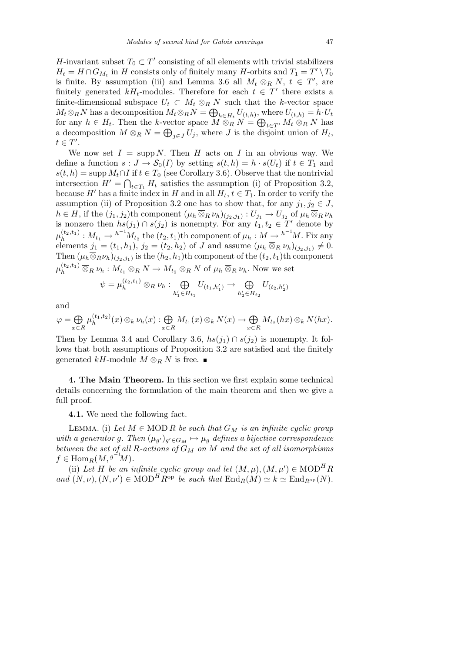*H*-invariant subset  $T_0 \subset T'$  consisting of all elements with trivial stabilizers  $H_t = H \cap G_{M_t}$  in *H* consists only of finitely many *H*-orbits and  $T_1 = T' \setminus T_0$ is finite. By assumption (iii) and Lemma 3.6 all  $M_t \otimes_R N$ ,  $t \in T'$ , are finitely generated  $kH_t$ -modules. Therefore for each  $t \in T'$  there exists a finite-dimensional subspace  $U_t \subset M_t \otimes_R N$  such that the *k*-vector space  $M_t \otimes_R N$  has a decomposition  $M_t \otimes_R N = \bigoplus_{h \in H_t} U_{(t,h)}$ , where  $U_{(t,h)} = h \cdot U_t$ for any  $h \in H_t$ . Then the *k*-vector space  $M \otimes_R N = \bigoplus_{t \in T'} M_t \otimes_R N$  has a decomposition  $M \otimes_R N =$  $\tilde{\mathcal{L}}$  $j \in J$  *U*<sup>*j*</sup>, where *J* is the disjoint union of  $H_t$ ,  $t \in T'$ .

We now set  $I = \text{supp } N$ . Then *H* acts on *I* in an obvious way. We define a function  $s: J \to S_0(I)$  by setting  $s(t, h) = h \cdot s(U_t)$  if  $t \in T_1$  and  $s(t, h) = \sup_{t \in \mathcal{I}} M_t \cap I$  if  $t \in T_0$  (see Corollary 3.6). Observe that the nontrivial intersection  $H' = \bigcap_{t \in T_1} H_t$  satisfies the assumption (i) of Proposition 3.2, because *H<sup>'</sup>* has a finite index in *H* and in all  $H_t$ ,  $t \in T_1$ . In order to verify the assumption (ii) of Proposition 3.2 one has to show that, for any  $j_1, j_2 \in J$ ,  $h \in H$ , if the  $(j_1, j_2)$ th component  $(\mu_h \otimes_R \nu_h)_{(j_2, j_1)} : U_{j_1} \to U_{j_2}$  of  $\mu_h \otimes_R \nu_h$ is nonzero then  $hs(j_1) \cap s(j_2)$  is nonempty. For any  $t_1, t_2 \in T'$  denote by  $\mu_h^{(t_2,t_1)}$  $h^{(t_2,t_1)}$ :  $M_{t_1} \to h^{-1}M_{t_2}$  the  $(t_2, t_1)$ th component of  $\mu_h : M \to h^{-1}M$ . Fix any elements  $j_1 = (t_1, h_1), j_2 = (t_2, h_2)$  of *J* and assume  $(\mu_h \, \overline{\otimes}_R \, \nu_h)_{(j_2, j_1)} \neq 0$ . Then  $(\mu_h \overline{\otimes}_R \nu_h)_{(j_2,j_1)}$  is the  $(h_2, h_1)$ th component of the  $(t_2, t_1)$ th component  $\mu_h^{(t_2,t_1)} \,\overline{\otimes}_R \nu_h: M_{t_1} \otimes_R N \to M_{t_2} \otimes_R N$  of  $\mu_h \,\overline{\otimes}_R \nu_h$ . Now we set

$$
\psi = \mu_h^{(t_2, t_1)} \overline{\otimes}_R \nu_h : \bigoplus_{h'_1 \in H_{t_1}} U_{(t_1, h'_1)} \to \bigoplus_{h'_2 \in H_{t_2}} U_{(t_2, h'_2)}
$$

and

$$
\varphi = \bigoplus_{x \in R} \mu_h^{(t_1, t_2)}(x) \otimes_k \nu_h(x) : \bigoplus_{x \in R} M_{t_1}(x) \otimes_k N(x) \to \bigoplus_{x \in R} M_{t_2}(hx) \otimes_k N(hx).
$$

Then by Lemma 3.4 and Corollary 3.6,  $hs(j_1) \cap s(j_2)$  is nonempty. It follows that both assumptions of Proposition 3.2 are satisfied and the finitely generated *kH*-module *M* ⊗*R N* is free. ■

**4. The Main Theorem.** In this section we first explain some technical details concerning the formulation of the main theorem and then we give a full proof.

**4.1.** We need the following fact.

LEMMA. (i) Let  $M \in \text{MOD } R$  be such that  $G_M$  is an infinite cyclic group *with a generator g. Then*  $(\mu_{g'})_{g' \in G_M} \mapsto \mu_g$  *defines a bijective correspondence between the set of all R-actions of G<sup>M</sup> on M and the set of all isomorphisms*  $f \in \text{Hom}_{R}(M, g^{-1}M)$ *.* 

(ii) Let *H* be an infinite cyclic group and let  $(M, \mu), (M, \mu') \in \text{MOD}^H R$  $\text{and } (N, \nu), (N, \nu') \in \text{MOD}^H R^{\text{op}}$  *be such that*  $\text{End}_R(M) \simeq k \simeq \text{End}_{R^{\text{op}}}(N)$ *.*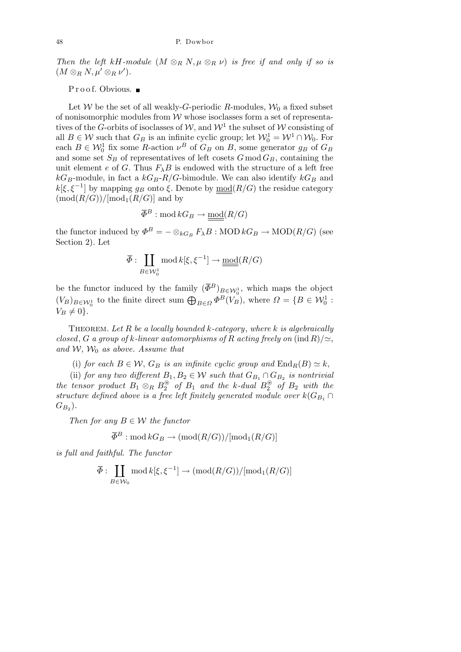*Then the left*  $kH$ *-module*  $(M \otimes_R N, \mu \otimes_R \nu)$  *is free if and only if so is*  $(M \otimes_R N, \mu' \otimes_R \nu').$ 

Proof. Obvious. ■

Let *W* be the set of all weakly-*G*-periodic *R*-modules,  $W_0$  a fixed subset of nonisomorphic modules from *W* whose isoclasses form a set of representatives of the *G*-orbits of isoclasses of  $W$ , and  $W<sup>1</sup>$  the subset of *W* consisting of all  $B \in \mathcal{W}$  such that  $G_B$  is an infinite cyclic group; let  $\mathcal{W}_0^1 = \mathcal{W}^1 \cap \mathcal{W}_0$ . For each  $B \in \mathcal{W}_0^1$  fix some *R*-action  $\nu^B$  of  $G_B$  on *B*, some generator  $g_B$  of  $G_B$ and some set  $S_B$  of representatives of left cosets  $G \mod G_B$ , containing the unit element *e* of *G*. Thus  $F_{\lambda}B$  is endowed with the structure of a left free  $kG_B$ -module, in fact a  $kG_B$ -*R*/*G*-bimodule. We can also identify  $kG_B$  and  $k[\xi, \xi^{-1}]$  by mapping  $g_B$  onto  $\xi$ . Denote by  $\underline{\text{mod}}(R/G)$  the residue category  $\pmod{\left(\frac{R}{G}\right)}$  /[mod<sub>1</sub>( $\frac{R}{G}$ )] and by

$$
\overline{\Phi}^B : \text{mod } kG_B \to \underline{\text{mod}}(R/G)
$$

the functor induced by  $\Phi^B = -\otimes_{kG_B} F_{\lambda}B$  : MOD  $kG_B \to \text{MOD}(R/G)$  (see Section 2). Let

$$
\overline{\Phi} : \coprod_{B \in \mathcal{W}_0^1} \operatorname{mod} k[\xi, \xi^{-1}] \to \underline{\operatorname{mod}}(R/G)
$$

be the functor induced by the family  $(\bar{\Phi}^B)_{B \in \mathcal{W}_0^1}$ , which maps the object  $(V_B)_{B \in \mathcal{W}_0^1}$  to the finite direct sum  $\bigoplus_{B \in \Omega} \Phi^B(V_B)$ , where  $\Omega = \{B \in \mathcal{W}_0^1 :$  $V_B \neq 0$ .

Theorem. *Let R be a locally bounded k-category*, *where k is algebraically closed*, *G a group* of *k*-linear automorphisms of *R* acting freely on (ind  $R$ )/ $\simeq$ , *and W*, *W*<sup>0</sup> *as above. Assume that*

(i) *for each*  $B \in \mathcal{W}$ ,  $G_B$  *is an infinite cyclic group and*  $\text{End}_R(B) \simeq k$ ,

(ii) *for any two different*  $B_1, B_2 \in \mathcal{W}$  *such that*  $G_{B_1} \cap G_{B_2}$  *is nontrivial*  $\Delta$  *the tensor product*  $B_1 \otimes_B B_2^*$  *of*  $B_1$  *and the k*-dual  $B_2^*$  *of*  $B_2$  *with the structure defined above is a free left finitely generated module over*  $k(G_{B_1} \cap$  $G_{B_2}$ ).

*Then for any*  $B \in \mathcal{W}$  *the functor* 

$$
\overline{\Phi}^B : \text{mod } kG_B \to (\text{mod}(R/G)) / [\text{mod}_1(R/G)]
$$

*is full and faithful. The functor*

$$
\overline{\Phi}: \coprod_{B \in \mathcal{W}_0} \operatorname{mod} k[\xi, \xi^{-1}] \to (\operatorname{mod}(R/G)) / [\operatorname{mod}_1(R/G)]
$$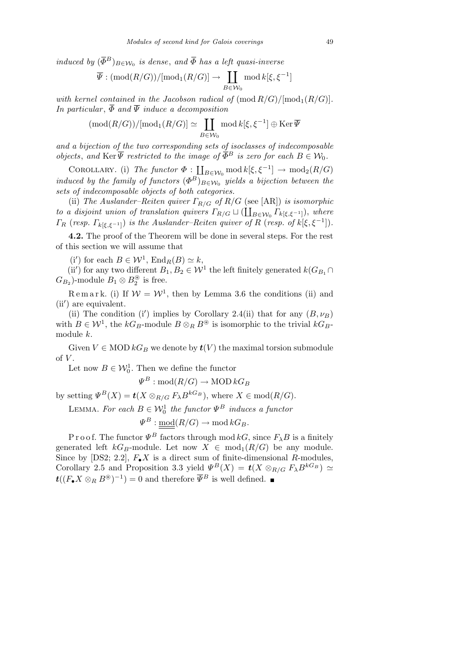*induced by*  $(\overline{\Phi}^B)_{B\in\mathcal{W}_0}$  *is dense, and*  $\overline{\Phi}$  *has a left quasi-inverse* 

$$
\overline{\Psi}: (\text{mod}(R/G)) / [\text{mod}_1(R/G)] \to \coprod_{B \in \mathcal{W}_0} \text{mod} \, k[\xi, \xi^{-1}]
$$

with kernel contained in the Jacobson radical of  $\pmod{R/G}/\pmod{R/G}$ . *In particular* , *Φ and Ψ induce a decomposition*

$$
(\text{mod}(R/G)) / [\text{mod}_1(R/G)] \simeq \coprod_{B \in \mathcal{W}_0} \text{mod } k[\xi, \xi^{-1}] \oplus \text{Ker }\overline{\Psi}
$$

*and a bijection of the two corresponding sets of isoclasses of indecomposable objects, and*  $\text{Ker } \overline{\Psi}$  *restricted to the image of*  $\overline{\Phi}^B$  *is zero for each*  $B \in \mathcal{W}_0$ *.* .<br>۳۳

Corollary. (i) *The functor Φ* :  $B \in \mathcal{W}_0 \mod k[\xi, \xi^{-1}] \rightarrow \mod_2(R/G)$ *induced by the family of functors*  $(\Phi^B)_{B \in \mathcal{W}_0}$  *yields a bijection between the sets of indecomposable objects of both categories.*

(ii) *The Auslander–Reiten quiver*  $\Gamma_{R/G}$  *of*  $R/G$  (see [AR]) *is isomorphic to a disjoint union of translation quivers*  $\Gamma_{R/G} \sqcup (\coprod_{B \in \mathcal{W}_0} \Gamma_{k[\xi, \xi^{-1}]})$ , where  $\Gamma_R$  (*resp.*  $\Gamma_{k[\xi,\xi^{-1}]})$  *is the Auslander–Reiten quiver of*  $R$  (*resp. of*  $k[\xi,\xi^{-1}]$ )*.* 

**4.2.** The proof of the Theorem will be done in several steps. For the rest of this section we will assume that

 $(i')$  for each  $B \in \mathcal{W}^1$ ,  $\text{End}_R(B) \simeq k$ ,

(ii<sup>*'*</sup>) for any two different  $B_1, B_2 \in \mathcal{W}^1$  the left finitely generated  $k(G_{B_1} \cap$  $G_{B_2}$ )-module  $B_1 \otimes B_2^{\circledast}$  is free.

Remark. (i) If  $W = W^1$ , then by Lemma 3.6 the conditions (ii) and (ii') are equivalent.

(ii) The condition (i') implies by Corollary 2.4(ii) that for any  $(B, \nu_B)$ with  $B \in \mathcal{W}^1$ , the  $kG_B$ -module  $B \otimes_R B^{\circledast}$  is isomorphic to the trivial  $kG_B$ module *k*.

Given  $V \in \text{MOD } kG_B$  we denote by  $t(V)$  the maximal torsion submodule of *V* .

Let now  $B \in \mathcal{W}^1_0$ . Then we define the functor

 $\Psi^B: {\rm mod}(R/G) \rightarrow {\rm MOD}\,kG_B$ 

by setting  $\Psi^B(X) = t(X \otimes_{R/G} F_{\lambda} B^{kG_B})$ , where  $X \in \text{mod}(R/G)$ .

LEMMA. For each  $B \in \mathcal{W}_0^1$  the functor  $\Psi^B$  induces a functor

$$
\Psi^B:\underline{\mathrm{mod}}(R/G)\to \mathrm{mod}\,kG_B.
$$

Proof. The functor  $\Psi^B$  factors through mod  $kG$ , since  $F_\lambda B$  is a finitely generated left  $kG_B$ -module. Let now  $X \in \text{mod}_1(R/G)$  be any module. Since by [DS2; 2.2],  $F_{\bullet}X$  is a direct sum of finite-dimensional *R*-modules, Corollary 2.5 and Proposition 3.3 yield  $\Psi^B(X) = t(X \otimes_{R/G} F_{\lambda} B^{kG_B}) \simeq$  $t((F_{\bullet}X \otimes_R B^{\circledast})^{-1}) = 0$  and therefore  $\overline{\Psi}^B$  is well defined.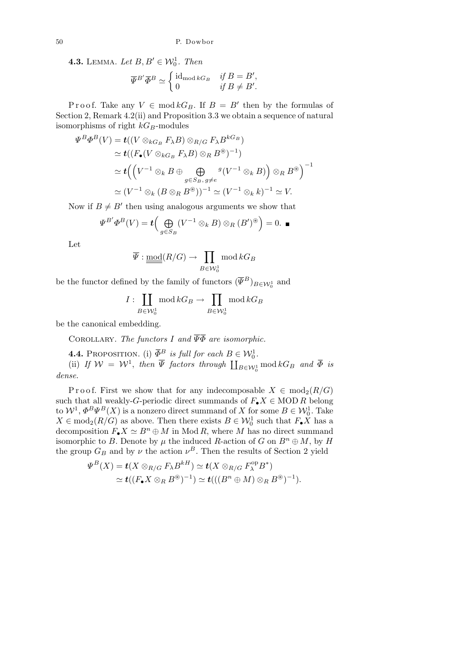**4.3.** LEMMA. Let  $B, B' \in W_0^1$ . Then

$$
\overline{\Psi}^{B'} \overline{\Phi}^{B} \simeq \begin{cases} \text{id}_{\text{mod } kG_B} & \text{if } B = B', \\ 0 & \text{if } B \neq B'. \end{cases}
$$

Proof. Take any  $V \in \text{mod } kG_B$ . If  $B = B'$  then by the formulas of Section 2, Remark 4.2(ii) and Proposition 3.3 we obtain a sequence of natural isomorphisms of right  $kG_B$ -modules

$$
\Psi^B \Phi^B(V) = \mathbf{t}((V \otimes_{kG_B} F_{\lambda} B) \otimes_{R/G} F_{\lambda} B^{kG_B})
$$
  
\n
$$
\simeq \mathbf{t}((F_{\bullet}(V \otimes_{kG_B} F_{\lambda} B) \otimes_R B^{\circledast})^{-1})
$$
  
\n
$$
\simeq \mathbf{t}((V^{-1} \otimes_k B \oplus \bigoplus_{g \in S_B, g \neq e} g(V^{-1} \otimes_k B)) \otimes_R B^{\circledast})^{-1}
$$
  
\n
$$
\simeq (V^{-1} \otimes_k (B \otimes_R B^{\circledast}))^{-1} \simeq (V^{-1} \otimes_k k)^{-1} \simeq V.
$$

Now if  $B \neq B'$  then using analogous arguments we show that

$$
\Psi^{B'} \Phi^B (V) = \mathbf{t} \Big( \bigoplus_{g \in S_B} (V^{-1} \otimes_k B) \otimes_R (B')^{\circledast} \Big) = 0. \blacksquare
$$

Let

$$
\overline{\Psi}:\underline{\text{mod}}(R/G)\to\prod_{B\in\mathcal{W}_0^1}\text{mod }kG_B
$$

be the functor defined by the family of functors  $(\overline{\Psi}^B)_{B \in \mathcal{W}^1_0}$  and

$$
I:\coprod_{B\in\mathcal{W}_0^1}\operatorname{mod} kG_B\to\prod_{B\in\mathcal{W}_0^1}\operatorname{mod} kG_B
$$

be the canonical embedding.

Corollary. *The functors I and ΨΦ are isomorphic.*

**4.4.** PROPOSITION. (i)  $\overline{\Phi}^B$  *is full for each*  $B \in \mathcal{W}^1_0$ .

(ii) *If*  $W = W^1$ , *then*  $\overline{\Psi}$  *factors through*  $\prod_{B \in W_0^1}$  mod  $kG_B$  *and*  $\overline{\Phi}$  *is dense.*

Proof. First we show that for any indecomposable  $X \in \text{mod}_2(R/G)$ such that all weakly-*G*-periodic direct summands of  $F_{\bullet}X \in \text{MOD } R$  belong to  $W^1$ ,  $\Phi^B \Psi^B(X)$  is a nonzero direct summand of *X* for some  $B \in \mathcal{W}_0^1$ . Take  $X \in \text{mod}_2(R/G)$  as above. Then there exists  $B \in \mathcal{W}_0^1$  such that  $F_{\bullet}X$  has a decomposition  $F_{\bullet} X \simeq B^n \oplus M$  in Mod *R*, where *M* has no direct summand isomorphic to *B*. Denote by  $\mu$  the induced *R*-action of *G* on  $B^n \oplus M$ , by *H* the group  $G_B$  and by  $\nu$  the action  $\nu^B$ . Then the results of Section 2 yield

$$
\Psi^B(X) = \mathbf{t}(X \otimes_{R/G} F_{\lambda} B^{kH}) \simeq \mathbf{t}(X \otimes_{R/G} F_{\lambda}^{\rm op} B^*)
$$
  
\simeq \mathbf{t}((F\_{\bullet} X \otimes\_R B^{\circledast})^{-1}) \simeq \mathbf{t}(((B^n \oplus M) \otimes\_R B^{\circledast})^{-1}).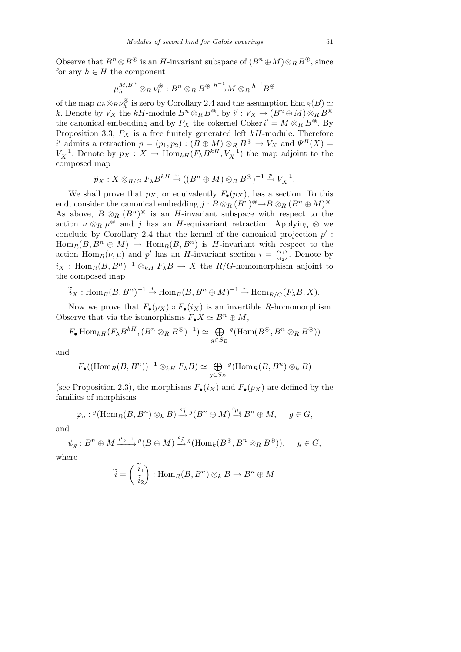Observe that  $B^n \otimes B^*$  is an *H*-invariant subspace of  $(B^n \oplus M) \otimes_R B^*$ , since for any  $h \in H$  the component

$$
\mu_h^{M,B^n} \otimes_R \nu_h^{\circledast} : B^n \otimes_R B^{\circledast} \xrightarrow{h^{-1}} M \otimes_R {}^{h^{-1}}B^{\circledast}
$$

of the map  $\mu_h \otimes_R \nu_h^*$  is zero by Corollary 2.4 and the assumption  $\text{End}_R(B) \simeq$ *k*. Denote by  $V_X$  the *kH*-module  $B^n \otimes_R B^{\circledast}$ , by  $i' : V_X \to (B^n \oplus M) \otimes_R B^{\circledast}$ the canonical embedding and by  $P_X$  the cokernel Coker  $i' = M \otimes_R B^*$ . By Proposition 3.3, *P<sup>X</sup>* is a free finitely generated left *kH*-module. Therefore  $i'$  admits a retraction  $p = (p_1, p_2) : (B \oplus M) \otimes_R B^{\circledast} \to V_X$  and  $\Psi^B(X) =$ *V*<sub>X</sub><sup>−1</sup>. Denote by  $p_X : X \to \text{Hom}_{kH}(F_\lambda B^{kH}, V_X^{-1})$  the map adjoint to the composed map

$$
\widetilde{p}_X:X\otimes_{R/G}F_{\lambda}B^{kH}\stackrel{\sim}{\to}((B^n\oplus M)\otimes_R B^{\circledast})^{-1}\stackrel{p}{\to}V_X^{-1}.
$$

We shall prove that  $p_X$ , or equivalently  $F_{\bullet}(p_X)$ , has a section. To this end, consider the canonical embedding  $j: B \otimes_R (B^n)^{\circledast} \to B \otimes_R (B^n \oplus M)^{\circledast}$ . As above,  $B \otimes_R (B^n)^{\otimes}$  is an *H*-invariant subspace with respect to the action  $\nu \otimes_R \mu^*$  and *j* has an *H*-equivariant retraction. Applying  $*$  we conclude by Corollary 2.4 that the kernel of the canonical projection  $p'$ :  $\text{Hom}_R(B, B^n \oplus M) \to \text{Hom}_R(B, B^n)$  is *H*-invariant with respect to the action  $\text{Hom}_R(\nu,\mu)$  and  $p'$  has an *H*-invariant section  $i = \binom{i_1}{i_2}$  $i_2^{i_1}$ ). Denote by  $i_X$  : Hom<sub>*R*</sub>(*B, B<sup>n</sup>)*<sup>-1</sup>  $\otimes_{kH} F_{\lambda}B \to X$  the *R/G*-homomorphism adjoint to the composed map

$$
\widetilde{i}_X : \text{Hom}_R(B, B^n)^{-1} \stackrel{i}{\to} \text{Hom}_R(B, B^n \oplus M)^{-1} \stackrel{\sim}{\to} \text{Hom}_{R/G}(F_{\lambda}B, X).
$$

Now we prove that  $F_{\bullet}(p_X) \circ F_{\bullet}(i_X)$  is an invertible *R*-homomorphism. Observe that via the isomorphisms  $F_{\bullet}X \simeq B^n \oplus M$ ,

$$
F_{\bullet} \operatorname{Hom}_{kH}(F_{\lambda} B^{kH}, (B^n \otimes_R B^{\circledast})^{-1}) \simeq \bigoplus_{g \in S_B} {}^g(\operatorname{Hom}(B^{\circledast}, B^n \otimes_R B^{\circledast}))
$$

and

$$
F_{\bullet}((\text{Hom}_{R}(B, B^{n}))^{-1} \otimes_{kH} F_{\lambda}B) \simeq \bigoplus_{g \in S_{B}} {}^{g}(\text{Hom}_{R}(B, B^{n}) \otimes_{k} B)
$$

(see Proposition 2.3), the morphisms  $F_{\bullet}(i_X)$  and  $F_{\bullet}(p_X)$  are defined by the families of morphisms

$$
\varphi_g: {}^g(\text{Hom}_R(B, B^n) \otimes_k B) \xrightarrow{g_{\tilde{g}}} {}^g(B^n \oplus M) \xrightarrow{g_{\mu_g}} B^n \oplus M, \quad g \in G,
$$

and

$$
\psi_g: B^n\oplus M \xrightarrow{\mu_{g^{-1}}} {}^g(B\oplus M) \xrightarrow{g_{\widetilde{p}}} {}^g(\mathrm{Hom}_k(B^\circledast, B^n\otimes_R B^\circledast)), \quad g\in G,
$$

where

$$
\widetilde{i} = \begin{pmatrix} \widetilde{i}_1 \\ \widetilde{i}_2 \end{pmatrix} : \text{Hom}_R(B, B^n) \otimes_k B \to B^n \oplus M
$$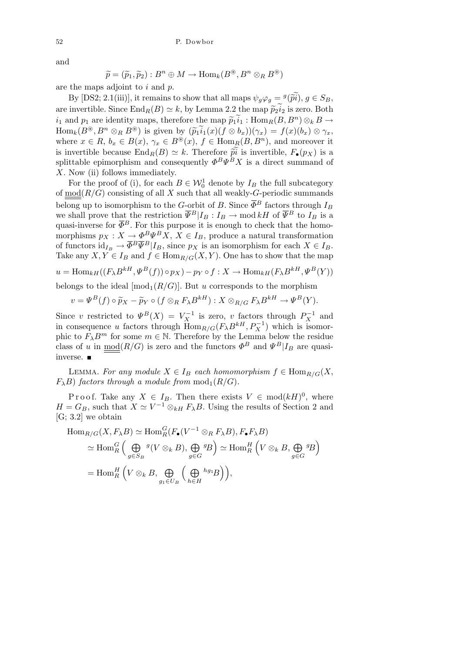and

$$
\widetilde{p} = (\widetilde{p}_1, \widetilde{p}_2) : B^n \oplus M \to \text{Hom}_k(B^{\circledast}, B^n \otimes_R B^{\circledast})
$$

are the maps adjoint to *i* and *p*.

By [DS2; 2.1(iii)], it remains to show that all maps  $\psi_g \varphi_g = {}^g(\widetilde{\widetilde{pi}})$ ,  $g \in S_B$ , are invertible. Since  $\text{End}_{R}(B) \simeq k$ , by Lemma 2.2 the map  $\widetilde{p}_{2}i_{2}$  is zero. Both  $i_1$  and  $p_1$  are identity maps, therefore the map  $\widetilde{p}_1 \widetilde{i}_1$  :  $\text{Hom}_R(B, B^n) \otimes_k B \to$  $\text{Hom}_k(B^\circledast, B^n \otimes_R B^\circledast)$  is given by  $(\widetilde{p}_1 \widetilde{i}_1(x)(f \otimes b_x))(\gamma_x) = f(x)(b_x) \otimes \gamma_x$ , where  $x \in R$ ,  $b_x \in B(x)$ ,  $\gamma_x \in B^*$  $(x)$ ,  $f \in \text{Hom}_R(B, B^n)$ , and moreover it is invertible because  $\text{End}_R(B) \simeq k$ . Therefore  $\widetilde{pi}$  is invertible,  $F_{\bullet}(p_X)$  is a splittable epimorphism and consequently  $\Phi^B \Psi^B X$  is a direct summand of *X*. Now (ii) follows immediately.

For the proof of (i), for each  $B \in \mathcal{W}^1_0$  denote by  $I_B$  the full subcategory of mod(*R/G*) consisting of all *X* such that all weakly-*G*-periodic summands belong up to isomorphism to the *G*-orbit of *B*. Since  $\overline{\Phi}^B$  factors through  $I_B$ we shall prove that the restriction  $\overline{\Psi}^B | I_B : I_B \to \text{mod } kH$  of  $\overline{\Psi}^B$  to  $I_B$  is a quasi-inverse for  $\overline{\Phi}^B$ . For this purpose it is enough to check that the homomorphisms  $p_X : X \to \Phi^B \Psi^B X$ ,  $X \in I_B$ , produce a natural transformation of functors  $\mathrm{id}_{I_B} \to \overline{\Phi}{}^B \overline{\Psi}{}^B | I_B$ , since  $p_X$  is an isomorphism for each  $X \in I_B$ . Take any  $X, Y \in I_B$  and  $f \in \text{Hom}_{R/G}(X, Y)$ . One has to show that the map  $u = \text{Hom}_{kH}((F_{\lambda}B^{kH}, \Psi^B(f)) \circ p_X) - p_Y \circ f : X \to \text{Hom}_{kH}(F_{\lambda}B^{kH}, \Psi^B(Y))$ 

belongs to the ideal  $\lceil \text{mod}_1(R/G) \rceil$ . But *u* corresponds to the morphism

$$
v = \Psi^B(f) \circ \widetilde{p}_X - \widetilde{p}_Y \circ (f \otimes_R F_{\lambda} B^{kH}) : X \otimes_{R/G} F_{\lambda} B^{kH} \to \Psi^B(Y).
$$

Since *v* restricted to  $\Psi^B(X) = V_X^{-1}$  is zero, *v* factors through  $P_X^{-1}$  and in consequence *u* factors through  $\overline{\text{Hom}}_{R/G}(F_{\lambda}B^{kH}, P_X^{-1})$  which is isomorphic to  $F_{\lambda}B^m$  for some  $m \in \mathbb{N}$ . Therefore by the Lemma below the residue class of *u* in  $\underline{\text{mod}}(R/G)$  is zero and the functors  $\Phi^B$  and  $\Psi^B|I_B$  are quasiinverse.

LEMMA. For any module  $X \in I_B$  each homomorphism  $f \in \text{Hom}_{R/G}(X,$  $F_{\lambda}B$ ) *factors through a module from*  $mod_1(R/G)$ *.* 

Proof. Take any  $X \in I_B$ . Then there exists  $V \in \text{mod}(kH)^0$ , where  $H = G_B$ , such that  $X \simeq V^{-1} \otimes_{kH} F_{\lambda} B$ . Using the results of Section 2 and  $[G; 3.2]$  we obtain

$$
\text{Hom}_{R/G}(X, F_{\lambda}B) \simeq \text{Hom}_{R}^{G}(F_{\bullet}(V^{-1} \otimes_{R} F_{\lambda}B), F_{\bullet}F_{\lambda}B)
$$
\n
$$
\simeq \text{Hom}_{R}^{G}\left(\bigoplus_{g \in S_{B}} {}^{g}(V \otimes_{k} B), \bigoplus_{g \in G} {}^{g}B\right) \simeq \text{Hom}_{R}^{H}\left(V \otimes_{k} B, \bigoplus_{g \in G} {}^{g}B\right)
$$
\n
$$
= \text{Hom}_{R}^{H}\left(V \otimes_{k} B, \bigoplus_{g_{1} \in U_{B}} \left(\bigoplus_{h \in H} {}^{h}g_{1}B\right)\right),
$$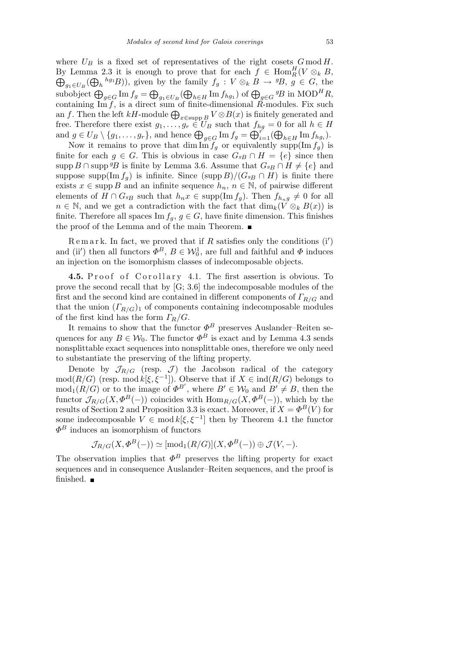where  $U_B$  is a fixed set of representatives of the right cosets  $G \mod H$ . By Lemma 2.3 it is enough to prove that for each  $f \in \text{Hom}_{R}^{H}(V \otimes_{k} B,$  $g_1 \in U_B$  ( $\bigoplus_h h g_1 B$ )), given by the family  $f_g: V \otimes_k B \to {}^g B$ ,  $g \in G$ , the  $\bigoplus_{g \in G} g_1 \in U_B \setminus \bigoplus_{g \in G} \text{Im} f_g =$  $\overline{a}$  $g_1 \in U_B$ <sup>(</sup>  $\overline{a}$  $h \in H$  Im  $f_{hg1}$ ) of  $\bigoplus_{g \in G} gB$  in MOD<sup>*H*</sup>*R*, containing Im *f*, is a direct sum of finite-dimensional *R*-modules. Fix such containing im *f*, is a direct sum of finite-dimensional *R*-modules. Fix such an *f*. Then the left *kH*-module  $\bigoplus_{x \in \text{supp } B} V \otimes B(x)$  is finitely generated and free. Therefore there exist  $g_1, \ldots, g_r \in U_B$  such that  $f_{hg} = 0$  for all  $h \in H$ and  $g \in U_B \setminus \{g_1, \ldots, g_r\}$ , and hence  $\bigoplus_{g \in G} \text{Im } f_g = \bigoplus_{i=1}^r (\bigoplus_{h \in H} \text{Im } f_{hg_i}).$ 

Now it remains to prove that dim  $\overline{\text{Im}} f_g$  or equivalently supp( $\text{Im} f_g$ ) is finite for each  $g \in G$ . This is obvious in case  $G_{g} \cap H = \{e\}$  since then supp *B*  $\cap$  supp<sup>*g*</sup>*B* is finite by Lemma 3.6. Assume that  $G_{gB} \cap H \neq \{e\}$  and suppose supp(Im  $f_g$ ) is infinite. Since  $(\text{supp } B)/(G_{g} \cap H)$  is finite there exists  $x \in \text{supp } B$  and an infinite sequence  $h_n$ ,  $n \in \mathbb{N}$ , of pairwise different elements of  $H \cap G_{g}$  such that  $h_n x \in \text{supp}(\text{Im } f_g)$ . Then  $f_{h_n g} \neq 0$  for all  $n \in \mathbb{N}$ , and we get a contradiction with the fact that  $\dim_k(V \otimes_k B(x))$  is finite. Therefore all spaces Im  $f_g$ ,  $g \in G$ , have finite dimension. This finishes the proof of the Lemma and of the main Theorem.

 $\mathbb{R} \in \mathbb{R}$  is a fact, we proved that if  $R$  satisfies only the conditions  $(i')$ and (ii<sup>*'*</sup>) then all functors  $\Phi^B$ ,  $B \in \mathcal{W}^1_0$ , are full and faithful and  $\Phi$  induces an injection on the isomorphism classes of indecomposable objects.

4.5. Proof of Corollary 4.1. The first assertion is obvious. To prove the second recall that by [G; 3.6] the indecomposable modules of the first and the second kind are contained in different components of *ΓR/G* and that the union  $(\Gamma_{R/G})_1$  of components containing indecomposable modules of the first kind has the form *ΓR/G*.

It remains to show that the functor *Φ <sup>B</sup>* preserves Auslander–Reiten sequences for any  $B \in \mathcal{W}_0$ . The functor  $\Phi^B$  is exact and by Lemma 4.3 sends nonsplittable exact sequences into nonsplittable ones, therefore we only need to substantiate the preserving of the lifting property.

Denote by  $\mathcal{J}_{R/G}$  (resp.  $\mathcal{J}$ ) the Jacobson radical of the category mod( $R/G$ ) (resp. mod  $k[\xi, \xi^{-1}]$ ). Observe that if  $X \in \text{ind}(R/G)$  belongs to  $\text{mod}_1(R/G)$  or to the image of  $\Phi^{B'}$ , where  $B' \in \mathcal{W}_0$  and  $B' \neq B$ , then the functor  $\mathcal{J}_{R/G}(X, \Phi^B(-))$  coincides with  $\text{Hom}_{R/G}(X, \Phi^B(-))$ , which by the results of Section 2 and Proposition 3.3 is exact. Moreover, if  $X = \Phi^B(V)$  for some indecomposable  $V \in \text{mod } k[\xi, \xi^{-1}]$  then by Theorem 4.1 the functor *Φ <sup>B</sup>* induces an isomorphism of functors

$$
\mathcal{J}_{R/G}(X, \Phi^B(-)) \simeq [\text{mod}_1(R/G)](X, \Phi^B(-)) \oplus \mathcal{J}(V, -).
$$

The observation implies that  $\Phi^B$  preserves the lifting property for exact sequences and in consequence Auslander–Reiten sequences, and the proof is finished.  $\blacksquare$